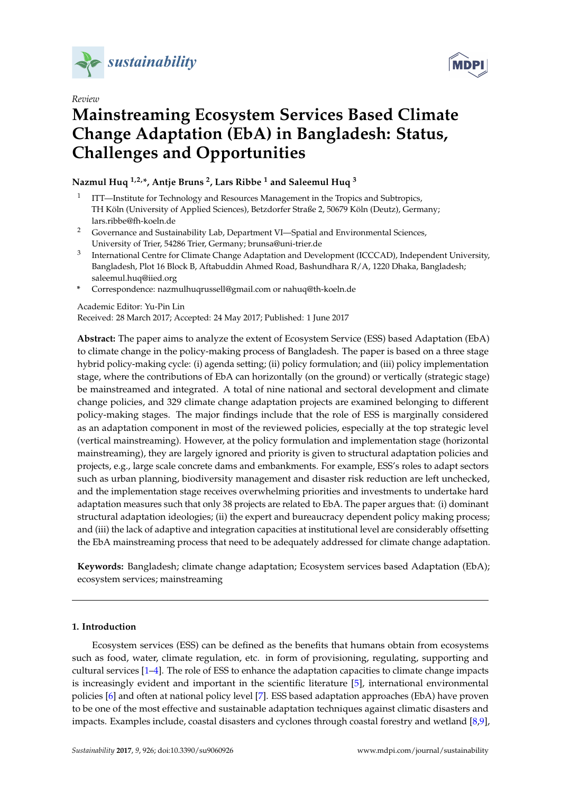

*Review*



# **Mainstreaming Ecosystem Services Based Climate Change Adaptation (EbA) in Bangladesh: Status, Challenges and Opportunities**

**Nazmul Huq 1,2,\*, Antje Bruns <sup>2</sup> , Lars Ribbe <sup>1</sup> and Saleemul Huq <sup>3</sup>**

- 1 ITT—Institute for Technology and Resources Management in the Tropics and Subtropics, TH Köln (University of Applied Sciences), Betzdorfer Straße 2, 50679 Köln (Deutz), Germany; lars.ribbe@fh-koeln.de
- <sup>2</sup> Governance and Sustainability Lab, Department VI—Spatial and Environmental Sciences, University of Trier, 54286 Trier, Germany; brunsa@uni-trier.de
- 3 International Centre for Climate Change Adaptation and Development (ICCCAD), Independent University, Bangladesh, Plot 16 Block B, Aftabuddin Ahmed Road, Bashundhara R/A, 1220 Dhaka, Bangladesh; saleemul.huq@iied.org
- **\*** Correspondence: nazmulhuqrussell@gmail.com or nahuq@th-koeln.de

### Academic Editor: Yu-Pin Lin

Received: 28 March 2017; Accepted: 24 May 2017; Published: 1 June 2017

**Abstract:** The paper aims to analyze the extent of Ecosystem Service (ESS) based Adaptation (EbA) to climate change in the policy-making process of Bangladesh. The paper is based on a three stage hybrid policy-making cycle: (i) agenda setting; (ii) policy formulation; and (iii) policy implementation stage, where the contributions of EbA can horizontally (on the ground) or vertically (strategic stage) be mainstreamed and integrated. A total of nine national and sectoral development and climate change policies, and 329 climate change adaptation projects are examined belonging to different policy-making stages. The major findings include that the role of ESS is marginally considered as an adaptation component in most of the reviewed policies, especially at the top strategic level (vertical mainstreaming). However, at the policy formulation and implementation stage (horizontal mainstreaming), they are largely ignored and priority is given to structural adaptation policies and projects, e.g., large scale concrete dams and embankments. For example, ESS's roles to adapt sectors such as urban planning, biodiversity management and disaster risk reduction are left unchecked, and the implementation stage receives overwhelming priorities and investments to undertake hard adaptation measures such that only 38 projects are related to EbA. The paper argues that: (i) dominant structural adaptation ideologies; (ii) the expert and bureaucracy dependent policy making process; and (iii) the lack of adaptive and integration capacities at institutional level are considerably offsetting the EbA mainstreaming process that need to be adequately addressed for climate change adaptation.

**Keywords:** Bangladesh; climate change adaptation; Ecosystem services based Adaptation (EbA); ecosystem services; mainstreaming

## **1. Introduction**

Ecosystem services (ESS) can be defined as the benefits that humans obtain from ecosystems such as food, water, climate regulation, etc. in form of provisioning, regulating, supporting and cultural services [\[1](#page-14-0)[–4\]](#page-15-0). The role of ESS to enhance the adaptation capacities to climate change impacts is increasingly evident and important in the scientific literature [\[5\]](#page-15-1), international environmental policies [\[6\]](#page-15-2) and often at national policy level [\[7\]](#page-15-3). ESS based adaptation approaches (EbA) have proven to be one of the most effective and sustainable adaptation techniques against climatic disasters and impacts. Examples include, coastal disasters and cyclones through coastal forestry and wetland [\[8,](#page-15-4)[9\]](#page-15-5),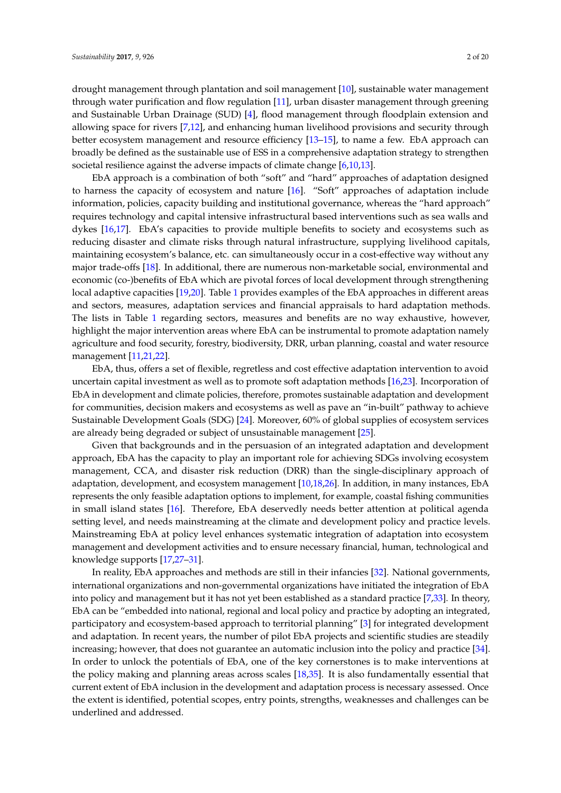drought management through plantation and soil management [\[10\]](#page-15-6), sustainable water management through water purification and flow regulation [\[11\]](#page-15-7), urban disaster management through greening and Sustainable Urban Drainage (SUD) [\[4\]](#page-15-0), flood management through floodplain extension and allowing space for rivers [\[7](#page-15-3)[,12\]](#page-15-8), and enhancing human livelihood provisions and security through better ecosystem management and resource efficiency [\[13](#page-15-9)[–15\]](#page-15-10), to name a few. EbA approach can broadly be defined as the sustainable use of ESS in a comprehensive adaptation strategy to strengthen societal resilience against the adverse impacts of climate change [\[6](#page-15-2)[,10](#page-15-6)[,13\]](#page-15-9).

EbA approach is a combination of both "soft" and "hard" approaches of adaptation designed to harness the capacity of ecosystem and nature [\[16\]](#page-15-11). "Soft" approaches of adaptation include information, policies, capacity building and institutional governance, whereas the "hard approach" requires technology and capital intensive infrastructural based interventions such as sea walls and dykes [\[16](#page-15-11)[,17\]](#page-15-12). EbA's capacities to provide multiple benefits to society and ecosystems such as reducing disaster and climate risks through natural infrastructure, supplying livelihood capitals, maintaining ecosystem's balance, etc. can simultaneously occur in a cost-effective way without any major trade-offs [\[18\]](#page-15-13). In additional, there are numerous non-marketable social, environmental and economic (co-)benefits of EbA which are pivotal forces of local development through strengthening local adaptive capacities [\[19,](#page-15-14)[20\]](#page-15-15). Table [1](#page-3-0) provides examples of the EbA approaches in different areas and sectors, measures, adaptation services and financial appraisals to hard adaptation methods. The lists in Table [1](#page-3-0) regarding sectors, measures and benefits are no way exhaustive, however, highlight the major intervention areas where EbA can be instrumental to promote adaptation namely agriculture and food security, forestry, biodiversity, DRR, urban planning, coastal and water resource management [\[11](#page-15-7)[,21,](#page-15-16)[22\]](#page-15-17).

EbA, thus, offers a set of flexible, regretless and cost effective adaptation intervention to avoid uncertain capital investment as well as to promote soft adaptation methods [\[16,](#page-15-11)[23\]](#page-15-18). Incorporation of EbA in development and climate policies, therefore, promotes sustainable adaptation and development for communities, decision makers and ecosystems as well as pave an "in-built" pathway to achieve Sustainable Development Goals (SDG) [\[24\]](#page-15-19). Moreover, 60% of global supplies of ecosystem services are already being degraded or subject of unsustainable management [\[25\]](#page-15-20).

Given that backgrounds and in the persuasion of an integrated adaptation and development approach, EbA has the capacity to play an important role for achieving SDGs involving ecosystem management, CCA, and disaster risk reduction (DRR) than the single-disciplinary approach of adaptation, development, and ecosystem management [\[10](#page-15-6)[,18,](#page-15-13)[26\]](#page-16-0). In addition, in many instances, EbA represents the only feasible adaptation options to implement, for example, coastal fishing communities in small island states [\[16\]](#page-15-11). Therefore, EbA deservedly needs better attention at political agenda setting level, and needs mainstreaming at the climate and development policy and practice levels. Mainstreaming EbA at policy level enhances systematic integration of adaptation into ecosystem management and development activities and to ensure necessary financial, human, technological and knowledge supports [\[17](#page-15-12)[,27](#page-16-1)[–31\]](#page-16-2).

In reality, EbA approaches and methods are still in their infancies [\[32\]](#page-16-3). National governments, international organizations and non-governmental organizations have initiated the integration of EbA into policy and management but it has not yet been established as a standard practice [\[7,](#page-15-3)[33\]](#page-16-4). In theory, EbA can be "embedded into national, regional and local policy and practice by adopting an integrated, participatory and ecosystem-based approach to territorial planning" [\[3\]](#page-14-1) for integrated development and adaptation. In recent years, the number of pilot EbA projects and scientific studies are steadily increasing; however, that does not guarantee an automatic inclusion into the policy and practice [\[34\]](#page-16-5). In order to unlock the potentials of EbA, one of the key cornerstones is to make interventions at the policy making and planning areas across scales [\[18](#page-15-13)[,35\]](#page-16-6). It is also fundamentally essential that current extent of EbA inclusion in the development and adaptation process is necessary assessed. Once the extent is identified, potential scopes, entry points, strengths, weaknesses and challenges can be underlined and addressed.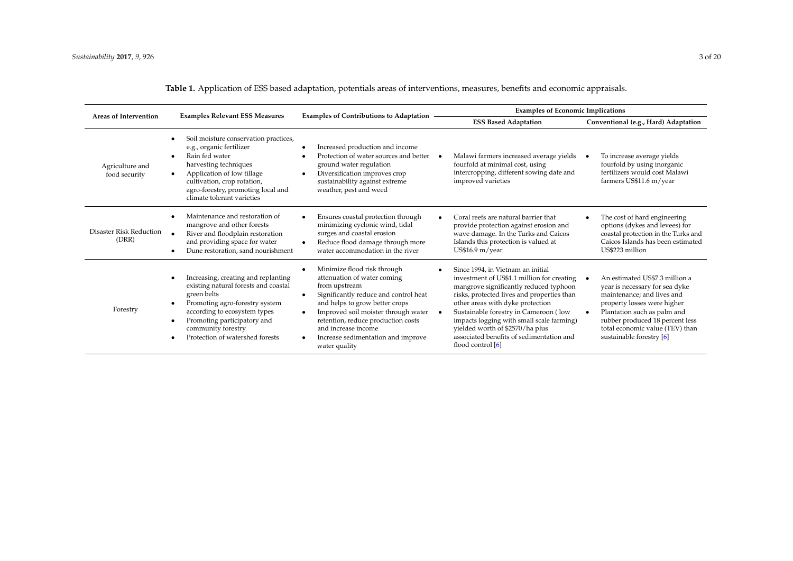| <b>Areas of Intervention</b>            | <b>Examples Relevant ESS Measures</b>                                                                                                                                                                                                                      | <b>Examples of Contributions to Adaptation</b>                                                                                                                                                                                                                                                                                                                        | <b>Examples of Economic Implications</b>                                                                                                                                                                                                                                                                                                                                                                |                                                                                                                                                                                                                                                                             |  |
|-----------------------------------------|------------------------------------------------------------------------------------------------------------------------------------------------------------------------------------------------------------------------------------------------------------|-----------------------------------------------------------------------------------------------------------------------------------------------------------------------------------------------------------------------------------------------------------------------------------------------------------------------------------------------------------------------|---------------------------------------------------------------------------------------------------------------------------------------------------------------------------------------------------------------------------------------------------------------------------------------------------------------------------------------------------------------------------------------------------------|-----------------------------------------------------------------------------------------------------------------------------------------------------------------------------------------------------------------------------------------------------------------------------|--|
|                                         |                                                                                                                                                                                                                                                            |                                                                                                                                                                                                                                                                                                                                                                       | <b>ESS Based Adaptation</b>                                                                                                                                                                                                                                                                                                                                                                             | Conventional (e.g., Hard) Adaptation                                                                                                                                                                                                                                        |  |
| Agriculture and<br>food security        | Soil moisture conservation practices,<br>e.g., organic fertilizer<br>Rain fed water<br>harvesting techniques<br>Application of low tillage<br>$\bullet$<br>cultivation, crop rotation,<br>agro-forestry, promoting local and<br>climate tolerant varieties | Increased production and income<br>٠<br>Protection of water sources and better<br>ground water regulation<br>Diversification improves crop<br>$\bullet$<br>sustainability against extreme<br>weather, pest and weed                                                                                                                                                   | Malawi farmers increased average yields<br>fourfold at minimal cost, using<br>intercropping, different sowing date and<br>improved varieties                                                                                                                                                                                                                                                            | To increase average yields<br>fourfold by using inorganic<br>fertilizers would cost Malawi<br>farmers US\$11.6 m/year                                                                                                                                                       |  |
| <b>Disaster Risk Reduction</b><br>(DRR) | Maintenance and restoration of<br>mangrove and other forests<br>River and floodplain restoration<br>and providing space for water<br>Dune restoration, sand nourishment                                                                                    | Ensures coastal protection through<br>minimizing cyclonic wind, tidal<br>surges and coastal erosion<br>Reduce flood damage through more<br>$\bullet$<br>water accommodation in the river                                                                                                                                                                              | Coral reefs are natural barrier that<br>provide protection against erosion and<br>wave damage. In the Turks and Caicos<br>Islands this protection is valued at<br>US\$16.9 m/year                                                                                                                                                                                                                       | The cost of hard engineering<br>options (dykes and levees) for<br>coastal protection in the Turks and<br>Caicos Islands has been estimated<br>US\$223 million                                                                                                               |  |
| Forestry                                | Increasing, creating and replanting<br>existing natural forests and coastal<br>green belts<br>Promoting agro-forestry system<br>according to ecosystem types<br>Promoting participatory and<br>community forestry<br>Protection of watershed forests       | Minimize flood risk through<br>$\bullet$<br>attenuation of water coming<br>from upstream<br>Significantly reduce and control heat<br>$\bullet$<br>and helps to grow better crops<br>Improved soil moister through water<br>$\bullet$<br>retention, reduce production costs<br>and increase income<br>Increase sedimentation and improve<br>$\bullet$<br>water quality | Since 1994, in Vietnam an initial<br>investment of US\$1.1 million for creating<br>mangrove significantly reduced typhoon<br>risks, protected lives and properties than<br>other areas with dyke protection<br>Sustainable forestry in Cameroon (low<br>impacts logging with small scale farming)<br>yielded worth of \$2570/ha plus<br>associated benefits of sedimentation and<br>flood control $[6]$ | An estimated US\$7.3 million a<br>year is necessary for sea dyke<br>maintenance; and lives and<br>property losses were higher<br>Plantation such as palm and<br>$\bullet$<br>rubber produced 18 percent less<br>total economic value (TEV) than<br>sustainable forestry [6] |  |

**Table 1.** Application of ESS based adaptation, potentials areas of interventions, measures, benefits and economic appraisals.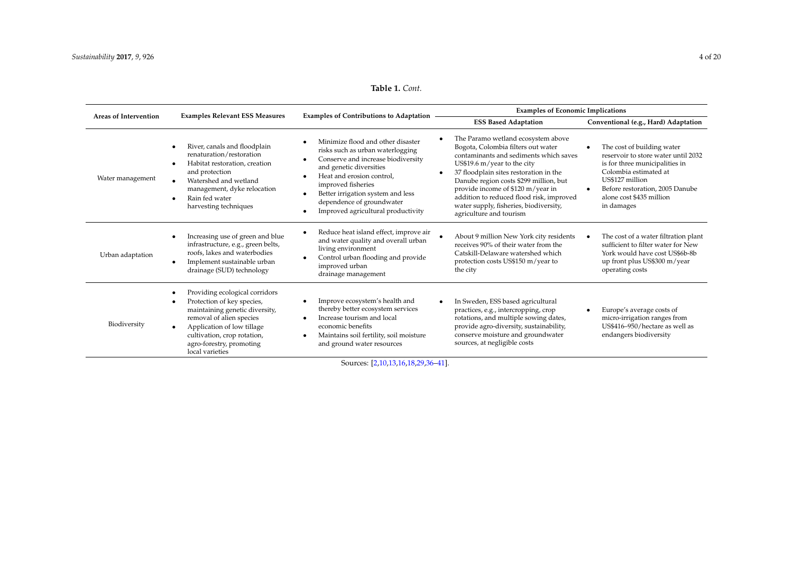## **Table 1.** *Cont.*

<span id="page-3-0"></span>

| <b>Areas of Intervention</b> | <b>Examples Relevant ESS Measures</b>                                                                                                                                                                                                               | <b>Examples of Contributions to Adaptation</b>                                                                                                                                                                                                                                                    | <b>Examples of Economic Implications</b>                                                                                                                                                                                                                                                                                                                                                                 |                                                                                                                                                                                                                                           |  |
|------------------------------|-----------------------------------------------------------------------------------------------------------------------------------------------------------------------------------------------------------------------------------------------------|---------------------------------------------------------------------------------------------------------------------------------------------------------------------------------------------------------------------------------------------------------------------------------------------------|----------------------------------------------------------------------------------------------------------------------------------------------------------------------------------------------------------------------------------------------------------------------------------------------------------------------------------------------------------------------------------------------------------|-------------------------------------------------------------------------------------------------------------------------------------------------------------------------------------------------------------------------------------------|--|
|                              |                                                                                                                                                                                                                                                     |                                                                                                                                                                                                                                                                                                   | <b>ESS Based Adaptation</b>                                                                                                                                                                                                                                                                                                                                                                              | Conventional (e.g., Hard) Adaptation                                                                                                                                                                                                      |  |
| Water management             | River, canals and floodplain<br>renaturation/restoration<br>Habitat restoration, creation<br>and protection<br>Watershed and wetland<br>management, dyke relocation<br>Rain fed water<br>harvesting techniques                                      | Minimize flood and other disaster<br>risks such as urban waterlogging<br>Conserve and increase biodiversity<br>and genetic diversities<br>Heat and erosion control.<br>improved fisheries<br>Better irrigation system and less<br>dependence of groundwater<br>Improved agricultural productivity | The Paramo wetland ecosystem above<br>Bogota, Colombia filters out water<br>contaminants and sediments which saves<br>US\$19.6 m/year to the city<br>37 floodplain sites restoration in the<br>$\bullet$<br>Danube region costs \$299 million, but<br>provide income of \$120 m/year in<br>addition to reduced flood risk, improved<br>water supply, fisheries, biodiversity,<br>agriculture and tourism | The cost of building water<br>reservoir to store water until 2032<br>is for three municipalities in<br>Colombia estimated at<br>US\$127 million<br>Before restoration, 2005 Danube<br>$\bullet$<br>alone cost \$435 million<br>in damages |  |
| Urban adaptation             | Increasing use of green and blue<br>infrastructure, e.g., green belts,<br>roofs. lakes and waterbodies<br>Implement sustainable urban<br>$\bullet$<br>drainage (SUD) technology                                                                     | Reduce heat island effect, improve air<br>and water quality and overall urban<br>living environment<br>Control urban flooding and provide<br>٠<br>improved urban<br>drainage management                                                                                                           | About 9 million New York city residents<br>receives 90% of their water from the<br>Catskill-Delaware watershed which<br>protection costs US\$150 m/year to<br>the city                                                                                                                                                                                                                                   | The cost of a water filtration plant<br>sufficient to filter water for New<br>York would have cost US\$6b-8b<br>up front plus US\$300 m/year<br>operating costs                                                                           |  |
| Biodiversity                 | Providing ecological corridors<br>Protection of key species,<br>maintaining genetic diversity,<br>removal of alien species<br>Application of low tillage<br>$\bullet$<br>cultivation, crop rotation,<br>agro-forestry, promoting<br>local varieties | Improve ecosystem's health and<br>thereby better ecosystem services<br>Increase tourism and local<br>economic benefits<br>Maintains soil fertility, soil moisture<br>and ground water resources                                                                                                   | In Sweden, ESS based agricultural<br>$\bullet$<br>practices, e.g., intercropping, crop<br>rotations, and multiple sowing dates,<br>provide agro-diversity, sustainability,<br>conserve moisture and groundwater<br>sources, at negligible costs                                                                                                                                                          | Europe's average costs of<br>micro-irrigation ranges from<br>US\$416-950/hectare as well as<br>endangers biodiversity                                                                                                                     |  |

Sources: [\[2,](#page-14-2)[10,](#page-15-22)[13,](#page-15-23)[16](#page-15-24)[,18](#page-15-25)[,29](#page-16-7)[,36](#page-16-8)[–41\]](#page-16-9).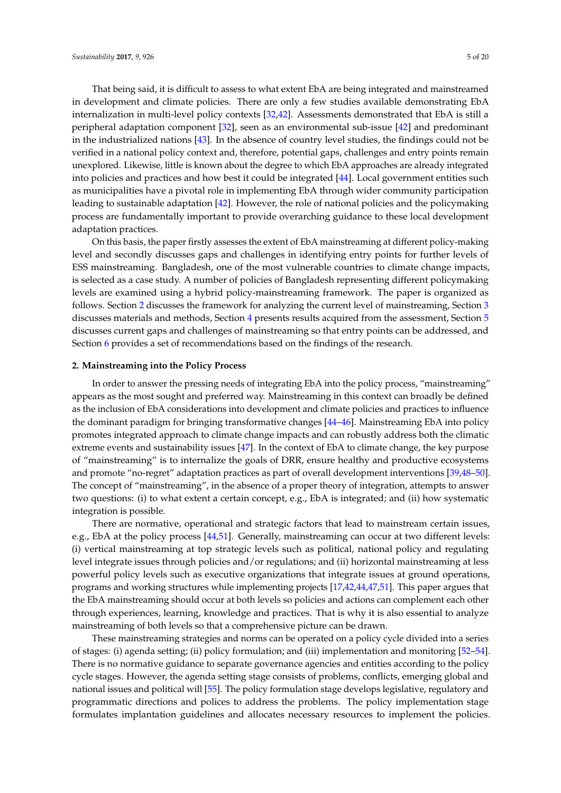That being said, it is difficult to assess to what extent EbA are being integrated and mainstreamed in development and climate policies. There are only a few studies available demonstrating EbA internalization in multi-level policy contexts [\[32](#page-16-3)[,42\]](#page-16-10). Assessments demonstrated that EbA is still a peripheral adaptation component [\[32\]](#page-16-3), seen as an environmental sub-issue [\[42\]](#page-16-10) and predominant in the industrialized nations [\[43\]](#page-16-11). In the absence of country level studies, the findings could not be verified in a national policy context and, therefore, potential gaps, challenges and entry points remain unexplored. Likewise, little is known about the degree to which EbA approaches are already integrated into policies and practices and how best it could be integrated [\[44\]](#page-16-12). Local government entities such as municipalities have a pivotal role in implementing EbA through wider community participation leading to sustainable adaptation [\[42\]](#page-16-10). However, the role of national policies and the policymaking process are fundamentally important to provide overarching guidance to these local development adaptation practices.

On this basis, the paper firstly assesses the extent of EbA mainstreaming at different policy-making level and secondly discusses gaps and challenges in identifying entry points for further levels of ESS mainstreaming. Bangladesh, one of the most vulnerable countries to climate change impacts, is selected as a case study. A number of policies of Bangladesh representing different policymaking levels are examined using a hybrid policy-mainstreaming framework. The paper is organized as follows. Section [2](#page-4-0) discusses the framework for analyzing the current level of mainstreaming, Section [3](#page-5-0) discusses materials and methods, Section [4](#page-7-0) presents results acquired from the assessment, Section [5](#page-11-0) discusses current gaps and challenges of mainstreaming so that entry points can be addressed, and Section [6](#page-14-3) provides a set of recommendations based on the findings of the research.

#### <span id="page-4-0"></span>**2. Mainstreaming into the Policy Process**

In order to answer the pressing needs of integrating EbA into the policy process, "mainstreaming" appears as the most sought and preferred way. Mainstreaming in this context can broadly be defined as the inclusion of EbA considerations into development and climate policies and practices to influence the dominant paradigm for bringing transformative changes [\[44](#page-16-12)[–46\]](#page-17-0). Mainstreaming EbA into policy promotes integrated approach to climate change impacts and can robustly address both the climatic extreme events and sustainability issues [\[47\]](#page-17-1). In the context of EbA to climate change, the key purpose of "mainstreaming" is to internalize the goals of DRR, ensure healthy and productive ecosystems and promote "no-regret" adaptation practices as part of overall development interventions [\[39](#page-16-13)[,48–](#page-17-2)[50\]](#page-17-3). The concept of "mainstreaming", in the absence of a proper theory of integration, attempts to answer two questions: (i) to what extent a certain concept, e.g., EbA is integrated; and (ii) how systematic integration is possible.

There are normative, operational and strategic factors that lead to mainstream certain issues, e.g., EbA at the policy process [\[44,](#page-16-12)[51\]](#page-17-4). Generally, mainstreaming can occur at two different levels: (i) vertical mainstreaming at top strategic levels such as political, national policy and regulating level integrate issues through policies and/or regulations; and (ii) horizontal mainstreaming at less powerful policy levels such as executive organizations that integrate issues at ground operations, programs and working structures while implementing projects [\[17](#page-15-12)[,42](#page-16-10)[,44,](#page-16-12)[47,](#page-17-1)[51\]](#page-17-4). This paper argues that the EbA mainstreaming should occur at both levels so policies and actions can complement each other through experiences, learning, knowledge and practices. That is why it is also essential to analyze mainstreaming of both levels so that a comprehensive picture can be drawn.

These mainstreaming strategies and norms can be operated on a policy cycle divided into a series of stages: (i) agenda setting; (ii) policy formulation; and (iii) implementation and monitoring [\[52–](#page-17-5)[54\]](#page-17-6). There is no normative guidance to separate governance agencies and entities according to the policy cycle stages. However, the agenda setting stage consists of problems, conflicts, emerging global and national issues and political will [\[55\]](#page-17-7). The policy formulation stage develops legislative, regulatory and programmatic directions and polices to address the problems. The policy implementation stage formulates implantation guidelines and allocates necessary resources to implement the policies.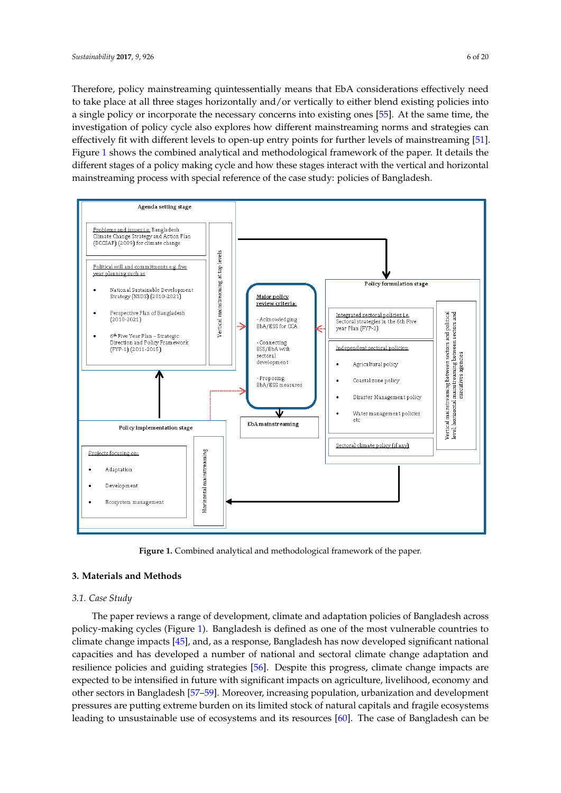Therefore, policy mainstreaming quintessentially means that EbA considerations effectively need to take place at all three stages horizontally and/or vertically to either blend existing policies into a single policy or incorporate the necessary concerns into existing ones [\[55\]](#page-17-7). At the same time, the investigation of policy cycle also explores how different mainstreaming norms and strategies can investigation of policy cycle also explores how different mainstreaming norms and strategies can effectively fit with different levels to open-up entry points for further levels of mainstreaming [\[51\]](#page-17-4). effectively fit with different levels to open-up entry points for further levels of mainstreaming [51]. Figure 1 shows the combined analytical and methodological framework of the paper. It details the Figur[e 1](#page-5-1) shows the combined analytical and methodological framework of the paper. It details the different stages of a policy making cycle and how these stages interact with the vertical and horizontal different stages of a policy making cycle and how these stages interact with the vertical and horizontal mainstreaming process with special reference of the case study: policies of Bangladesh. mainstreaming process with special reference of the case study: policies of Bangladesh.

<span id="page-5-1"></span>

**Figure 1.** Combined analytical and methodological framework of the paper. **Figure 1.** Combined analytical and methodological framework of the paper.

## <span id="page-5-0"></span>**3. Materials and Methods 3. Materials and Methods**

#### *3.1. Case Study 3.1. Case Study*

The paper reviews a range of development, climate and adaptation policies of Bangladesh across The paper reviews a range of development, climate and adaptation policies of Bangladesh across policy-making cycles (Figure [1](#page-5-1)). Bangladesh is defined as one of the most vulnerable countries to policy-making cycles (Figure 1). Bangladesh is defined as one of the most vulnerable countries to climate change impacts [\[45](#page-16-14)], and, as a response, Bangladesh has now developed significant national climate change impacts [45], and, as a response, Bangladesh has now developed significant national capacities and has developed a number of national and sectoral climate change adaptation and capacities and has developed a number of national and sectoral climate change adaptation and resilience policies and guiding strategies [\[56](#page-17-8)]. Despite this progress, climate change impacts are expected to be intensified in future with significant impacts on agriculture, livelihood, economy and expected to be intensified in future with significant impacts on agriculture, livelihood, economy and other sectors in Bangladesh [\[57](#page-17-9)[–59](#page-17-10)]. Moreover, increasing population, urbanization and development pressures are putting extreme burden on its limited stock of natural capitals and fragile ecosystems pressures are putting extreme burden on its limited stock of natural capitals and fragile ecosystems leading to unsustainable use of ecosystems and its resources [6[0\]. T](#page-17-11)he case of Bangladesh can be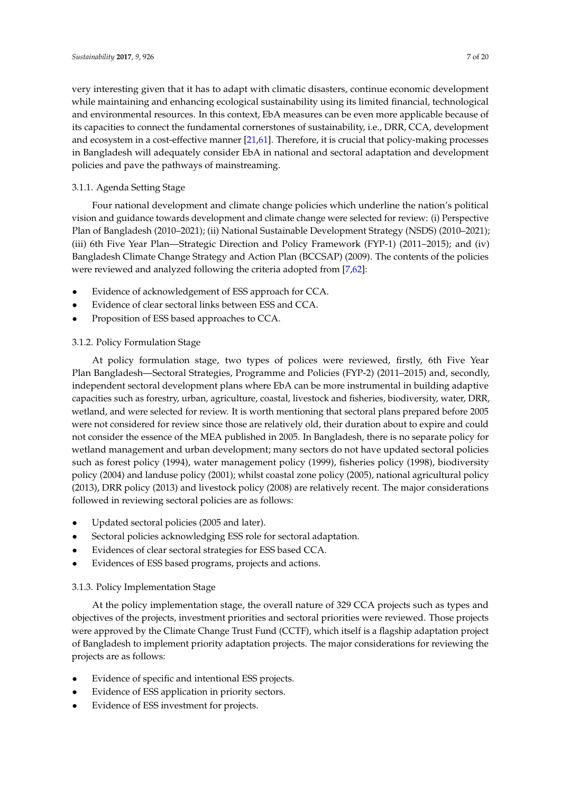very interesting given that it has to adapt with climatic disasters, continue economic development while maintaining and enhancing ecological sustainability using its limited financial, technological and environmental resources. In this context, EbA measures can be even more applicable because of its capacities to connect the fundamental cornerstones of sustainability, i.e., DRR, CCA, development and ecosystem in a cost-effective manner [\[21,](#page-15-16)[61\]](#page-17-12). Therefore, it is crucial that policy-making processes in Bangladesh will adequately consider EbA in national and sectoral adaptation and development policies and pave the pathways of mainstreaming.

## 3.1.1. Agenda Setting Stage

Four national development and climate change policies which underline the nation's political vision and guidance towards development and climate change were selected for review: (i) Perspective Plan of Bangladesh (2010–2021); (ii) National Sustainable Development Strategy (NSDS) (2010–2021); (iii) 6th Five Year Plan—Strategic Direction and Policy Framework (FYP-1) (2011–2015); and (iv) Bangladesh Climate Change Strategy and Action Plan (BCCSAP) (2009). The contents of the policies were reviewed and analyzed following the criteria adopted from [\[7,](#page-15-3)[62\]](#page-17-13):

- Evidence of acknowledgement of ESS approach for CCA.
- Evidence of clear sectoral links between ESS and CCA.
- Proposition of ESS based approaches to CCA.

## 3.1.2. Policy Formulation Stage

At policy formulation stage, two types of polices were reviewed, firstly, 6th Five Year Plan Bangladesh—Sectoral Strategies, Programme and Policies (FYP-2) (2011–2015) and, secondly, independent sectoral development plans where EbA can be more instrumental in building adaptive capacities such as forestry, urban, agriculture, coastal, livestock and fisheries, biodiversity, water, DRR, wetland, and were selected for review. It is worth mentioning that sectoral plans prepared before 2005 were not considered for review since those are relatively old, their duration about to expire and could not consider the essence of the MEA published in 2005. In Bangladesh, there is no separate policy for wetland management and urban development; many sectors do not have updated sectoral policies such as forest policy (1994), water management policy (1999), fisheries policy (1998), biodiversity policy (2004) and landuse policy (2001); whilst coastal zone policy (2005), national agricultural policy (2013), DRR policy (2013) and livestock policy (2008) are relatively recent. The major considerations followed in reviewing sectoral policies are as follows:

- Updated sectoral policies (2005 and later).
- Sectoral policies acknowledging ESS role for sectoral adaptation.
- Evidences of clear sectoral strategies for ESS based CCA.
- Evidences of ESS based programs, projects and actions.

## 3.1.3. Policy Implementation Stage

At the policy implementation stage, the overall nature of 329 CCA projects such as types and objectives of the projects, investment priorities and sectoral priorities were reviewed. Those projects were approved by the Climate Change Trust Fund (CCTF), which itself is a flagship adaptation project of Bangladesh to implement priority adaptation projects. The major considerations for reviewing the projects are as follows:

- Evidence of specific and intentional ESS projects.
- Evidence of ESS application in priority sectors.
- Evidence of ESS investment for projects.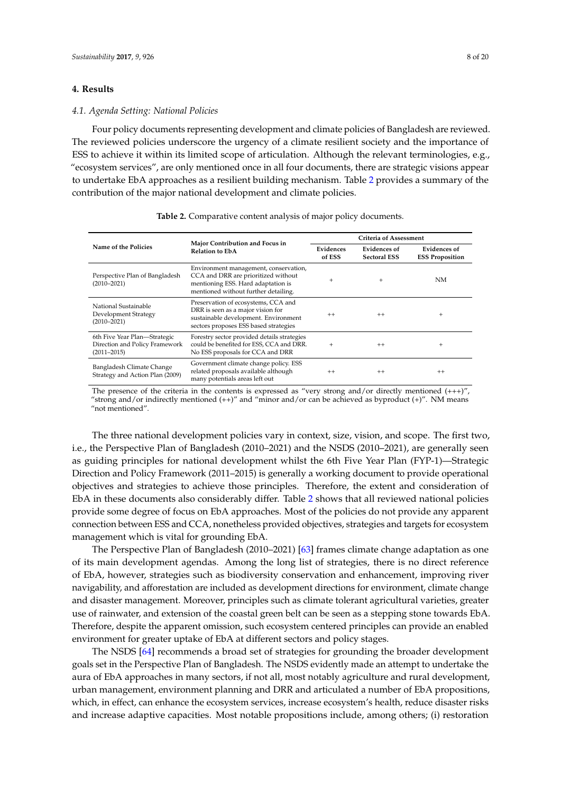#### <span id="page-7-0"></span>**4. Results**

#### *4.1. Agenda Setting: National Policies*

Four policy documents representing development and climate policies of Bangladesh are reviewed. The reviewed policies underscore the urgency of a climate resilient society and the importance of ESS to achieve it within its limited scope of articulation. Although the relevant terminologies, e.g., "ecosystem services", are only mentioned once in all four documents, there are strategic visions appear to undertake EbA approaches as a resilient building mechanism. Table [2](#page-7-1) provides a summary of the contribution of the major national development and climate policies.

<span id="page-7-1"></span>

|                                                                                   | Major Contribution and Focus in<br><b>Relation to EbA</b>                                                                                                  | Criteria of Assessment |                                     |                                        |
|-----------------------------------------------------------------------------------|------------------------------------------------------------------------------------------------------------------------------------------------------------|------------------------|-------------------------------------|----------------------------------------|
| Name of the Policies                                                              |                                                                                                                                                            | Evidences<br>of ESS    | Evidences of<br><b>Sectoral ESS</b> | Evidences of<br><b>ESS Proposition</b> |
| Perspective Plan of Bangladesh<br>$(2010 - 2021)$                                 | Environment management, conservation,<br>CCA and DRR are prioritized without<br>mentioning ESS. Hard adaptation is<br>mentioned without further detailing. | $^{+}$                 | $+$                                 | NM                                     |
| National Sustainable<br>Development Strategy<br>$(2010 - 2021)$                   | Preservation of ecosystems, CCA and<br>DRR is seen as a major vision for<br>sustainable development. Environment<br>sectors proposes ESS based strategies  | $^{++}$                | $^{++}$                             | $^{+}$                                 |
| 6th Five Year Plan-Strategic<br>Direction and Policy Framework<br>$(2011 - 2015)$ | Forestry sector provided details strategies<br>could be benefited for ESS, CCA and DRR.<br>No ESS proposals for CCA and DRR                                | $+$                    | $^{++}$                             | $^{+}$                                 |
| Bangladesh Climate Change<br>Strategy and Action Plan (2009)                      | Government climate change policy. ESS<br>related proposals available although<br>many potentials areas left out                                            | $^{++}$                | $^{++}$                             | $^{++}$                                |

**Table 2.** Comparative content analysis of major policy documents.

The presence of the criteria in the contents is expressed as "very strong and/or directly mentioned  $(+++)$ ", "strong and/or indirectly mentioned (++)" and "minor and/or can be achieved as byproduct (+)". NM means "not mentioned".

The three national development policies vary in context, size, vision, and scope. The first two, i.e., the Perspective Plan of Bangladesh (2010–2021) and the NSDS (2010–2021), are generally seen as guiding principles for national development whilst the 6th Five Year Plan (FYP-1)—Strategic Direction and Policy Framework (2011–2015) is generally a working document to provide operational objectives and strategies to achieve those principles. Therefore, the extent and consideration of EbA in these documents also considerably differ. Table [2](#page-7-1) shows that all reviewed national policies provide some degree of focus on EbA approaches. Most of the policies do not provide any apparent connection between ESS and CCA, nonetheless provided objectives, strategies and targets for ecosystem management which is vital for grounding EbA.

The Perspective Plan of Bangladesh (2010–2021) [\[63\]](#page-17-14) frames climate change adaptation as one of its main development agendas. Among the long list of strategies, there is no direct reference of EbA, however, strategies such as biodiversity conservation and enhancement, improving river navigability, and afforestation are included as development directions for environment, climate change and disaster management. Moreover, principles such as climate tolerant agricultural varieties, greater use of rainwater, and extension of the coastal green belt can be seen as a stepping stone towards EbA. Therefore, despite the apparent omission, such ecosystem centered principles can provide an enabled environment for greater uptake of EbA at different sectors and policy stages.

The NSDS [\[64\]](#page-17-15) recommends a broad set of strategies for grounding the broader development goals set in the Perspective Plan of Bangladesh. The NSDS evidently made an attempt to undertake the aura of EbA approaches in many sectors, if not all, most notably agriculture and rural development, urban management, environment planning and DRR and articulated a number of EbA propositions, which, in effect, can enhance the ecosystem services, increase ecosystem's health, reduce disaster risks and increase adaptive capacities. Most notable propositions include, among others; (i) restoration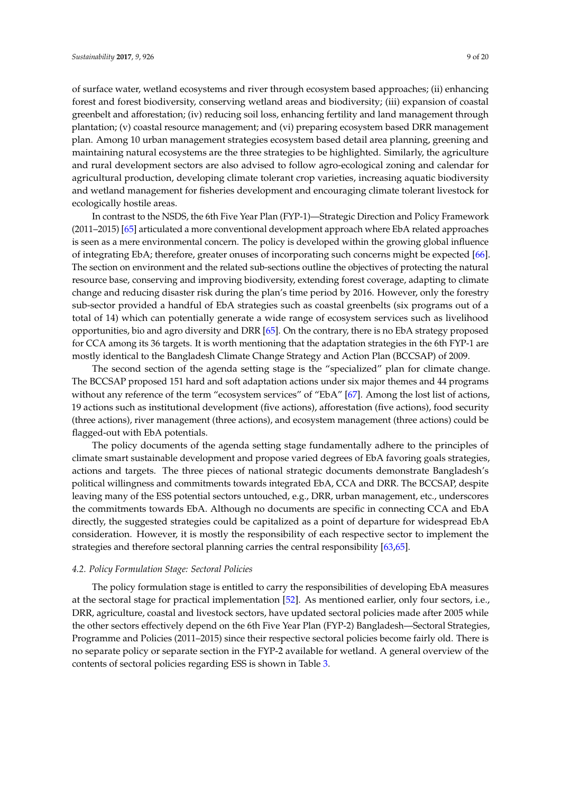of surface water, wetland ecosystems and river through ecosystem based approaches; (ii) enhancing forest and forest biodiversity, conserving wetland areas and biodiversity; (iii) expansion of coastal greenbelt and afforestation; (iv) reducing soil loss, enhancing fertility and land management through plantation; (v) coastal resource management; and (vi) preparing ecosystem based DRR management plan. Among 10 urban management strategies ecosystem based detail area planning, greening and maintaining natural ecosystems are the three strategies to be highlighted. Similarly, the agriculture and rural development sectors are also advised to follow agro-ecological zoning and calendar for agricultural production, developing climate tolerant crop varieties, increasing aquatic biodiversity and wetland management for fisheries development and encouraging climate tolerant livestock for ecologically hostile areas.

In contrast to the NSDS, the 6th Five Year Plan (FYP-1)—Strategic Direction and Policy Framework (2011–2015) [\[65\]](#page-17-16) articulated a more conventional development approach where EbA related approaches is seen as a mere environmental concern. The policy is developed within the growing global influence of integrating EbA; therefore, greater onuses of incorporating such concerns might be expected [\[66\]](#page-17-17). The section on environment and the related sub-sections outline the objectives of protecting the natural resource base, conserving and improving biodiversity, extending forest coverage, adapting to climate change and reducing disaster risk during the plan's time period by 2016. However, only the forestry sub-sector provided a handful of EbA strategies such as coastal greenbelts (six programs out of a total of 14) which can potentially generate a wide range of ecosystem services such as livelihood opportunities, bio and agro diversity and DRR [\[65\]](#page-17-16). On the contrary, there is no EbA strategy proposed for CCA among its 36 targets. It is worth mentioning that the adaptation strategies in the 6th FYP-1 are mostly identical to the Bangladesh Climate Change Strategy and Action Plan (BCCSAP) of 2009.

The second section of the agenda setting stage is the "specialized" plan for climate change. The BCCSAP proposed 151 hard and soft adaptation actions under six major themes and 44 programs without any reference of the term "ecosystem services" of "EbA" [\[67\]](#page-17-18). Among the lost list of actions, 19 actions such as institutional development (five actions), afforestation (five actions), food security (three actions), river management (three actions), and ecosystem management (three actions) could be flagged-out with EbA potentials.

The policy documents of the agenda setting stage fundamentally adhere to the principles of climate smart sustainable development and propose varied degrees of EbA favoring goals strategies, actions and targets. The three pieces of national strategic documents demonstrate Bangladesh's political willingness and commitments towards integrated EbA, CCA and DRR. The BCCSAP, despite leaving many of the ESS potential sectors untouched, e.g., DRR, urban management, etc., underscores the commitments towards EbA. Although no documents are specific in connecting CCA and EbA directly, the suggested strategies could be capitalized as a point of departure for widespread EbA consideration. However, it is mostly the responsibility of each respective sector to implement the strategies and therefore sectoral planning carries the central responsibility [\[63](#page-17-14)[,65\]](#page-17-16).

#### *4.2. Policy Formulation Stage: Sectoral Policies*

The policy formulation stage is entitled to carry the responsibilities of developing EbA measures at the sectoral stage for practical implementation [\[52\]](#page-17-5). As mentioned earlier, only four sectors, i.e., DRR, agriculture, coastal and livestock sectors, have updated sectoral policies made after 2005 while the other sectors effectively depend on the 6th Five Year Plan (FYP-2) Bangladesh—Sectoral Strategies, Programme and Policies (2011–2015) since their respective sectoral policies become fairly old. There is no separate policy or separate section in the FYP-2 available for wetland. A general overview of the contents of sectoral policies regarding ESS is shown in Table [3.](#page-9-0)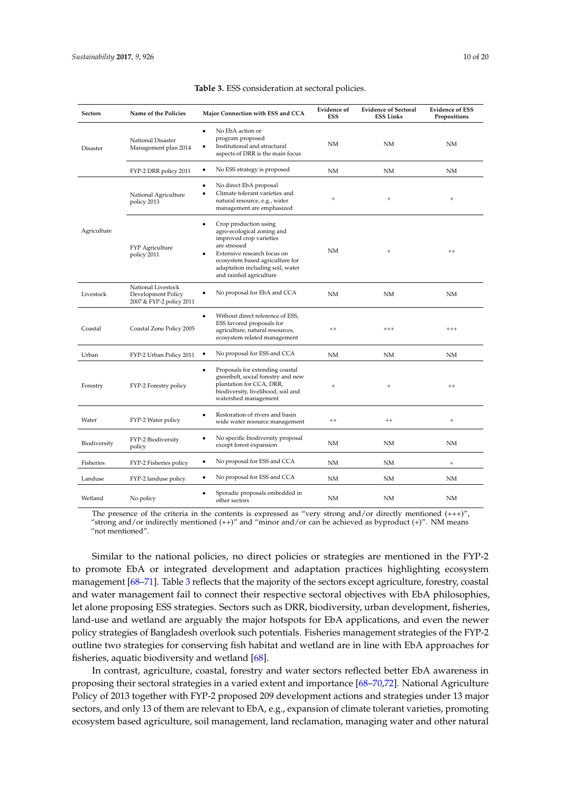<span id="page-9-0"></span>

| <b>Sectors</b> | Name of the Policies                                                 | Major Connection with ESS and CCA                                                                                                                                                                                                            | <b>Evidence of</b><br><b>ESS</b> | <b>Evidence of Sectoral</b><br><b>ESS Links</b> | <b>Evidence of ESS</b><br>Propositions |
|----------------|----------------------------------------------------------------------|----------------------------------------------------------------------------------------------------------------------------------------------------------------------------------------------------------------------------------------------|----------------------------------|-------------------------------------------------|----------------------------------------|
| Disaster       | National Disaster<br>Management plan 2014                            | No EbA action or<br>٠<br>program proposed<br>Institutional and structural<br>aspects of DRR is the main focus                                                                                                                                | NM                               | NΜ                                              | NΜ                                     |
|                | FYP-2 DRR policy 2011                                                | No ESS strategy is proposed<br>$\bullet$                                                                                                                                                                                                     | <b>NM</b>                        | NM                                              | <b>NM</b>                              |
| Agriculture    | National Agriculture<br>policy 2013                                  | No direct EbA proposal<br>٠<br>Climate tolerant varieties and<br>٠<br>natural resource, e.g., water<br>management are emphasized                                                                                                             | $\qquad \qquad +$                | $\begin{array}{c} + \end{array}$                | $\ddot{}$                              |
|                | <b>FYP</b> Agriculture<br>policy 2011                                | Crop production using<br>$\bullet$<br>agro-ecological zoning and<br>improved crop varieties<br>are stressed<br>Extensive research focus on<br>ecosystem based agriculture for<br>adaptation including soil, water<br>and rainfed agriculture | NM                               | $\begin{array}{c} + \end{array}$                | $^{++}$                                |
| Livestock      | National Livestock<br>Development Policy<br>2007 & FYP-2 policy 2011 | No proposal for EbA and CCA<br>٠                                                                                                                                                                                                             | <b>NM</b>                        | NM                                              | NM                                     |
| Coastal        | Coastal Zone Policy 2005                                             | Without direct reference of ESS,<br>٠<br>ESS favored proposals for<br>agriculture, natural resources,<br>ecosystem related management                                                                                                        | $^{++}$                          | $^{+++}$                                        | $^{+++}$                               |
| Urban          | FYP-2 Urban Policy 2011                                              | No proposal for ESS and CCA<br>٠                                                                                                                                                                                                             | <b>NM</b>                        | NM                                              | NM                                     |
| Forestry       | FYP-2 Forestry policy                                                | Proposals for extending coastal<br>٠<br>greenbelt, social forestry and new<br>plantation for CCA, DRR,<br>biodiversity, livelihood, soil and<br>watershed management                                                                         | $^{+}$                           | $\qquad \qquad +$                               | $+ +$                                  |
| Water          | FYP-2 Water policy                                                   | Restoration of rivers and basin<br>٠<br>wide water resource management                                                                                                                                                                       | $^{++}$                          | $^{++}$                                         | $^{+}$                                 |
| Biodiversity   | FYP-2 Biodiversity<br>policy                                         | No specific biodiversity proposal<br>٠<br>except forest expansion                                                                                                                                                                            | NM                               | NM                                              | NΜ                                     |
| Fisheries      | FYP-2 Fisheries policy                                               | No proposal for ESS and CCA<br>٠                                                                                                                                                                                                             | <b>NM</b>                        | <b>NM</b>                                       | $^{+}$                                 |
| Landuse        | FYP-2 landuse policy                                                 | No proposal for ESS and CCA<br>٠                                                                                                                                                                                                             | NM                               | NM                                              | NM                                     |
| Wetland        | No policy                                                            | Sporadic proposals embedded in<br>other sectors                                                                                                                                                                                              | <b>NM</b>                        | NM                                              | <b>NM</b>                              |

#### **Table 3.** ESS consideration at sectoral policies.

The presence of the criteria in the contents is expressed as "very strong and/or directly mentioned  $(++)$ ", "strong and/or indirectly mentioned (++)" and "minor and/or can be achieved as byproduct (+)". NM means "not mentioned".

Similar to the national policies, no direct policies or strategies are mentioned in the FYP-2 to promote EbA or integrated development and adaptation practices highlighting ecosystem management [\[68](#page-17-19)[–71\]](#page-18-0). Table [3](#page-9-0) reflects that the majority of the sectors except agriculture, forestry, coastal and water management fail to connect their respective sectoral objectives with EbA philosophies, let alone proposing ESS strategies. Sectors such as DRR, biodiversity, urban development, fisheries, land-use and wetland are arguably the major hotspots for EbA applications, and even the newer policy strategies of Bangladesh overlook such potentials. Fisheries management strategies of the FYP-2 outline two strategies for conserving fish habitat and wetland are in line with EbA approaches for fisheries, aquatic biodiversity and wetland [\[68\]](#page-17-19).

In contrast, agriculture, coastal, forestry and water sectors reflected better EbA awareness in proposing their sectoral strategies in a varied extent and importance [\[68–](#page-17-19)[70,](#page-17-20)[72\]](#page-18-1). National Agriculture Policy of 2013 together with FYP-2 proposed 209 development actions and strategies under 13 major sectors, and only 13 of them are relevant to EbA, e.g., expansion of climate tolerant varieties, promoting ecosystem based agriculture, soil management, land reclamation, managing water and other natural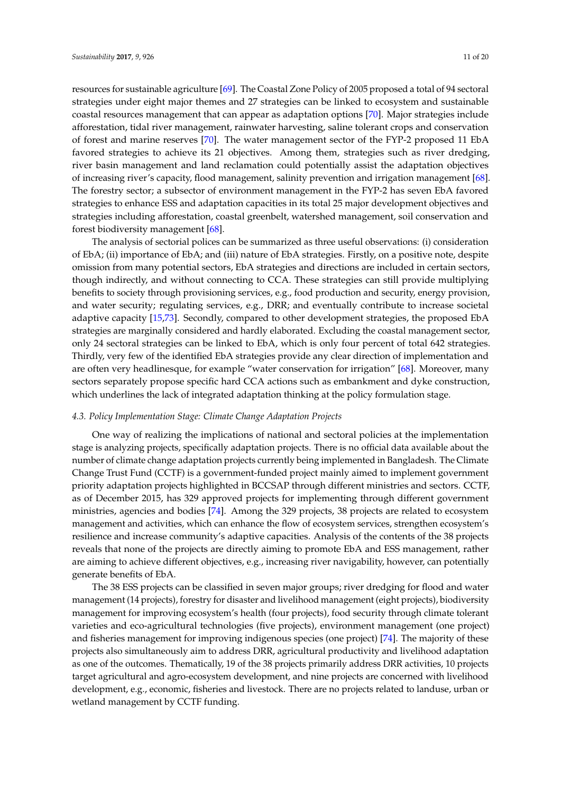resources for sustainable agriculture [\[69\]](#page-17-21). The Coastal Zone Policy of 2005 proposed a total of 94 sectoral strategies under eight major themes and 27 strategies can be linked to ecosystem and sustainable coastal resources management that can appear as adaptation options [\[70\]](#page-17-20). Major strategies include afforestation, tidal river management, rainwater harvesting, saline tolerant crops and conservation of forest and marine reserves [\[70\]](#page-17-20). The water management sector of the FYP-2 proposed 11 EbA favored strategies to achieve its 21 objectives. Among them, strategies such as river dredging, river basin management and land reclamation could potentially assist the adaptation objectives of increasing river's capacity, flood management, salinity prevention and irrigation management [\[68\]](#page-17-19). The forestry sector; a subsector of environment management in the FYP-2 has seven EbA favored strategies to enhance ESS and adaptation capacities in its total 25 major development objectives and strategies including afforestation, coastal greenbelt, watershed management, soil conservation and forest biodiversity management [\[68\]](#page-17-19).

The analysis of sectorial polices can be summarized as three useful observations: (i) consideration of EbA; (ii) importance of EbA; and (iii) nature of EbA strategies. Firstly, on a positive note, despite omission from many potential sectors, EbA strategies and directions are included in certain sectors, though indirectly, and without connecting to CCA. These strategies can still provide multiplying benefits to society through provisioning services, e.g., food production and security, energy provision, and water security; regulating services, e.g., DRR; and eventually contribute to increase societal adaptive capacity [\[15,](#page-15-10)[73\]](#page-18-2). Secondly, compared to other development strategies, the proposed EbA strategies are marginally considered and hardly elaborated. Excluding the coastal management sector, only 24 sectoral strategies can be linked to EbA, which is only four percent of total 642 strategies. Thirdly, very few of the identified EbA strategies provide any clear direction of implementation and are often very headlinesque, for example "water conservation for irrigation" [\[68\]](#page-17-19). Moreover, many sectors separately propose specific hard CCA actions such as embankment and dyke construction, which underlines the lack of integrated adaptation thinking at the policy formulation stage.

### *4.3. Policy Implementation Stage: Climate Change Adaptation Projects*

One way of realizing the implications of national and sectoral policies at the implementation stage is analyzing projects, specifically adaptation projects. There is no official data available about the number of climate change adaptation projects currently being implemented in Bangladesh. The Climate Change Trust Fund (CCTF) is a government-funded project mainly aimed to implement government priority adaptation projects highlighted in BCCSAP through different ministries and sectors. CCTF, as of December 2015, has 329 approved projects for implementing through different government ministries, agencies and bodies [\[74\]](#page-18-3). Among the 329 projects, 38 projects are related to ecosystem management and activities, which can enhance the flow of ecosystem services, strengthen ecosystem's resilience and increase community's adaptive capacities. Analysis of the contents of the 38 projects reveals that none of the projects are directly aiming to promote EbA and ESS management, rather are aiming to achieve different objectives, e.g., increasing river navigability, however, can potentially generate benefits of EbA.

The 38 ESS projects can be classified in seven major groups; river dredging for flood and water management (14 projects), forestry for disaster and livelihood management (eight projects), biodiversity management for improving ecosystem's health (four projects), food security through climate tolerant varieties and eco-agricultural technologies (five projects), environment management (one project) and fisheries management for improving indigenous species (one project) [\[74\]](#page-18-3). The majority of these projects also simultaneously aim to address DRR, agricultural productivity and livelihood adaptation as one of the outcomes. Thematically, 19 of the 38 projects primarily address DRR activities, 10 projects target agricultural and agro-ecosystem development, and nine projects are concerned with livelihood development, e.g., economic, fisheries and livestock. There are no projects related to landuse, urban or wetland management by CCTF funding.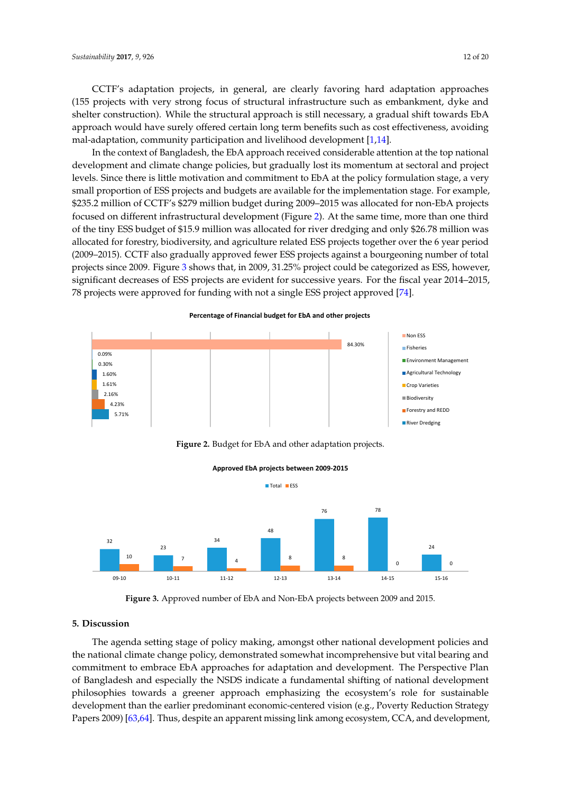CCTF's adaptation projects, in general, are clearly favoring hard adaptation approaches (155 projects with very strong focus of structural infrastructure such as embankment, dyke and shelter construction). While the structural approach is still necessary, a gradual shift towards EbA approach would have surely offered certain long term benefits such as cost effectiveness, avoiding mal-adaptation, community participation and livelihood development [\[1](#page-14-0)[,14\]](#page-15-26).

In the context of Bangladesh, the EbA approach received considerable attention at the top national development and climate change policies, but gradually lost its momentum at sectoral and project levels. Since there is little motivation and commitment to EbA at the policy formulation stage, a very small proportion of ESS projects and budgets are available for the implementation stage. For example, \$235.2 million of CCTF's \$279 million budget during 2009–2015 was allocated for non-EbA projects focused on different infrastructural development (Figure [2\)](#page-11-1). At the same time, more than one third of the tiny ESS budget of \$15.9 million was allocated for river dredging and only \$26.78 million was allocated for forestry, biodiversity, and agriculture related ESS projects together over the 6 year period (2009–2015). CCTF also gradually approved fewer ESS projects against a bourgeoning number of total projects since 2009. Figu[re](#page-11-2) 3 shows that, in 2009, 31.25% project could be categorized as ESS, however, significant decreases of ESS projects are evident for successive years. For the fiscal year 2014–2015, 78 projects were approved for funding with not a single ESS project approved [\[74\]](#page-18-3).

#### <span id="page-11-1"></span>5.71%  $4.23%$ 2.16% 4.23% 1.61% 2.16% 1.60% 1.61% 0.30%  $0.09%$ 84.30% Non ESS Fisheries Environment Management Agricultural Technology Crop Varieties **Biodiversity** Forestry and REDD River Dredging 0.09%

**Percentage of Financial budget for EbA and other projects**

**Figure 2.** Budget for EbA and other adaptation projects. **Figure 2.** Budget for EbA and other adaptation projects. **Figure 2.** Budget for EbA and other adaptation projects.

<span id="page-11-2"></span>

0900 1004F **Figure 3.** Approved number of EbA and Non-EbA projects between 2009 and 2015. **Figure 3.** Approved number of EbA and Non-EbA projects between 2009 and 2015.

#### <span id="page-11-0"></span>**Figure 3.** Approved number of EbA and Non-EbA projects between 2009 and 2015. **5. Discussion 5. Discussion**

**5. Discussion**  The agenda setting stage of policy making, amongst other national development policies and The agenda setting stage of policy making, amongst other national development policies and  $T_{\rm eff}$  and  $\sigma$  agenda setting stage of policies  $\sigma$  and  $\sigma$  and  $\sigma$  and  $\sigma$  and  $\sigma$  and  $\sigma$  and  $\sigma$  and  $\sigma$  and  $\sigma$  and  $\sigma$  and  $\sigma$  and  $\sigma$  and  $\sigma$  and  $\sigma$  and  $\sigma$  and  $\sigma$  and  $\sigma$  and  $\sigma$  and  $\sigma$  and  $t_{\text{max}}$  the national contract  $\frac{1}{\sqrt{2}}$ , denotes the national climate  $\frac{1}{\sqrt{2}}$  incomparison bearing and  $\frac{1}{\sqrt{2}}$  incomparison bearing and  $\frac{1}{\sqrt{2}}$  incomparison bearing and  $\frac{1}{\sqrt{2}}$  incomparison bearin commutes to empression to embrace EbA approximately  $\epsilon$  and  $\epsilon$  and  $\epsilon$  and  $\epsilon$  and  $\epsilon$  are  $\epsilon$  and  $\epsilon$  and  $\epsilon$  and  $\epsilon$  and  $\epsilon$  and  $\epsilon$  and  $\epsilon$  and  $\epsilon$  and  $\epsilon$  and  $\epsilon$  and  $\epsilon$  and  $\epsilon$  and  $\epsilon$  and  $\epsilon$  an  $B$ angladesh and especially the NSDS indicates a fundamental shifting of  $\alpha$   $\alpha$ . Beyondamental shifting of  $\alpha$   $\alpha$   $\alpha$   $\beta$   $\alpha$   $\beta$   $\alpha$   $\beta$   $\alpha$   $\beta$   $\alpha$   $\beta$   $\alpha$   $\beta$   $\alpha$   $\beta$   $\alpha$   $\beta$   $\alpha$   $\beta$   $\alpha$   $\beta$   $p_{\text{new}}(x) = p_{\text{new}}(x) - p_{\text{new}}(x)$  and  $p_{\text{new}}(x) = p_{\text{new}}(x) - p_{\text{new}}(x)$  role for sustainable means  $p_{\text{new}}(x) = p_{\text{new}}(x) - p_{\text{new}}(x)$ Papers 2009) [\[63](#page-17-14)[,64\]](#page-17-15). Thus, despite an apparent missing link among ecosystem, CCA, and development, the national climate change policy, demonstrated somewhat incomprehensive but vital bearing and the national state of the national climate  $\sim$ commitment to embrace EbA approaches for adaptation and development. The Perspective Plan Bangladesh and especially the NSDS indicate a fundamental shifting of national development of Bangladesh and especially the NSDS indicate a fundamental shifting of national development philosophies towards a greener approach emphasizing the ecosystem's role for sustainable philosophies towards a greener approach emphasizing the ecosystem's role for sustainable development than the earlier predominant economic-centered vision (e.g., Poverty Reduction Strategy)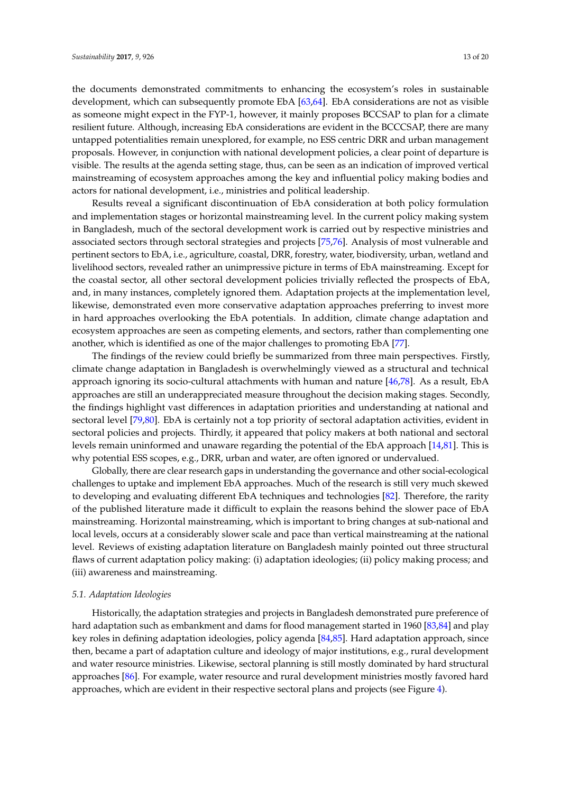the documents demonstrated commitments to enhancing the ecosystem's roles in sustainable development, which can subsequently promote EbA [\[63,](#page-17-14)[64\]](#page-17-15). EbA considerations are not as visible as someone might expect in the FYP-1, however, it mainly proposes BCCSAP to plan for a climate resilient future. Although, increasing EbA considerations are evident in the BCCCSAP, there are many untapped potentialities remain unexplored, for example, no ESS centric DRR and urban management proposals. However, in conjunction with national development policies, a clear point of departure is visible. The results at the agenda setting stage, thus, can be seen as an indication of improved vertical mainstreaming of ecosystem approaches among the key and influential policy making bodies and actors for national development, i.e., ministries and political leadership.

Results reveal a significant discontinuation of EbA consideration at both policy formulation and implementation stages or horizontal mainstreaming level. In the current policy making system in Bangladesh, much of the sectoral development work is carried out by respective ministries and associated sectors through sectoral strategies and projects [\[75](#page-18-4)[,76\]](#page-18-5). Analysis of most vulnerable and pertinent sectors to EbA, i.e., agriculture, coastal, DRR, forestry, water, biodiversity, urban, wetland and livelihood sectors, revealed rather an unimpressive picture in terms of EbA mainstreaming. Except for the coastal sector, all other sectoral development policies trivially reflected the prospects of EbA, and, in many instances, completely ignored them. Adaptation projects at the implementation level, likewise, demonstrated even more conservative adaptation approaches preferring to invest more in hard approaches overlooking the EbA potentials. In addition, climate change adaptation and ecosystem approaches are seen as competing elements, and sectors, rather than complementing one another, which is identified as one of the major challenges to promoting EbA [\[77\]](#page-18-6).

The findings of the review could briefly be summarized from three main perspectives. Firstly, climate change adaptation in Bangladesh is overwhelmingly viewed as a structural and technical approach ignoring its socio-cultural attachments with human and nature [\[46](#page-17-0)[,78\]](#page-18-7). As a result, EbA approaches are still an underappreciated measure throughout the decision making stages. Secondly, the findings highlight vast differences in adaptation priorities and understanding at national and sectoral level [\[79](#page-18-8)[,80\]](#page-18-9). EbA is certainly not a top priority of sectoral adaptation activities, evident in sectoral policies and projects. Thirdly, it appeared that policy makers at both national and sectoral levels remain uninformed and unaware regarding the potential of the EbA approach [\[14](#page-15-26)[,81\]](#page-18-10). This is why potential ESS scopes, e.g., DRR, urban and water, are often ignored or undervalued.

Globally, there are clear research gaps in understanding the governance and other social-ecological challenges to uptake and implement EbA approaches. Much of the research is still very much skewed to developing and evaluating different EbA techniques and technologies [\[82\]](#page-18-11). Therefore, the rarity of the published literature made it difficult to explain the reasons behind the slower pace of EbA mainstreaming. Horizontal mainstreaming, which is important to bring changes at sub-national and local levels, occurs at a considerably slower scale and pace than vertical mainstreaming at the national level. Reviews of existing adaptation literature on Bangladesh mainly pointed out three structural flaws of current adaptation policy making: (i) adaptation ideologies; (ii) policy making process; and (iii) awareness and mainstreaming.

#### *5.1. Adaptation Ideologies*

Historically, the adaptation strategies and projects in Bangladesh demonstrated pure preference of hard adaptation such as embankment and dams for flood management started in 1960 [\[83,](#page-18-12)[84\]](#page-18-13) and play key roles in defining adaptation ideologies, policy agenda [\[84](#page-18-13)[,85\]](#page-18-14). Hard adaptation approach, since then, became a part of adaptation culture and ideology of major institutions, e.g., rural development and water resource ministries. Likewise, sectoral planning is still mostly dominated by hard structural approaches [\[86\]](#page-18-15). For example, water resource and rural development ministries mostly favored hard approaches, which are evident in their respective sectoral plans and projects (see Figure [4\)](#page-13-0).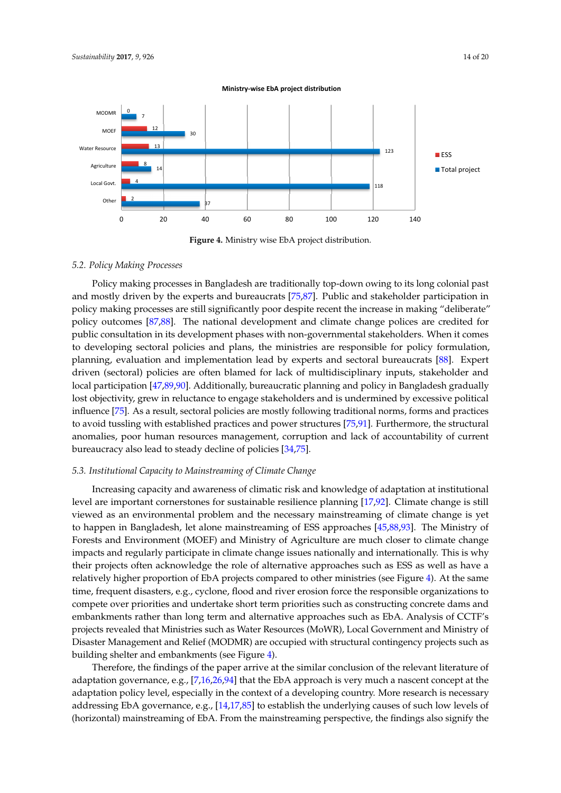<span id="page-13-0"></span>

**Figure 4.** Ministry wise EbA project distribution.

#### *5.2. Policy Making Processes*

Policy making processes in Bangladesh are traditionally top-down owing to its long colonial past and mostly driven by the experts and bureaucrats [\[75,](#page-18-4)[87\]](#page-18-16). Public and stakeholder participation in policy making processes are still significantly poor despite recent the increase in making "deliberate" policy outcomes [\[87](#page-18-16)[,88\]](#page-18-17). The national development and climate change polices are credited for public consultation in its development phases with non-governmental stakeholders. When it comes to developing sectoral policies and plans, the ministries are responsible for policy formulation, planning, evaluation and implementation lead by experts and sectoral bureaucrats [\[88\]](#page-18-17). Expert driven (sectoral) policies are often blamed for lack of multidisciplinary inputs, stakeholder and local participation [\[47](#page-17-1)[,89](#page-18-18)[,90\]](#page-18-19). Additionally, bureaucratic planning and policy in Bangladesh gradually lost objectivity, grew in reluctance to engage stakeholders and is undermined by excessive political influence [\[75\]](#page-18-4). As a result, sectoral policies are mostly following traditional norms, forms and practices to avoid tussling with established practices and power structures [\[75,](#page-18-4)[91\]](#page-18-20). Furthermore, the structural anomalies, poor human resources management, corruption and lack of accountability of current bureaucracy also lead to steady decline of policies [\[34](#page-16-5)[,75\]](#page-18-4).

#### *5.3. Institutional Capacity to Mainstreaming of Climate Change*

Increasing capacity and awareness of climatic risk and knowledge of adaptation at institutional level are important cornerstones for sustainable resilience planning [\[17](#page-15-12)[,92\]](#page-18-21). Climate change is still viewed as an environmental problem and the necessary mainstreaming of climate change is yet to happen in Bangladesh, let alone mainstreaming of ESS approaches [\[45,](#page-16-14)[88,](#page-18-17)[93\]](#page-18-22). The Ministry of Forests and Environment (MOEF) and Ministry of Agriculture are much closer to climate change impacts and regularly participate in climate change issues nationally and internationally. This is why their projects often acknowledge the role of alternative approaches such as ESS as well as have a relatively higher proportion of EbA projects compared to other ministries (see Figure [4\)](#page-13-0). At the same time, frequent disasters, e.g., cyclone, flood and river erosion force the responsible organizations to compete over priorities and undertake short term priorities such as constructing concrete dams and embankments rather than long term and alternative approaches such as EbA. Analysis of CCTF's projects revealed that Ministries such as Water Resources (MoWR), Local Government and Ministry of Disaster Management and Relief (MODMR) are occupied with structural contingency projects such as building shelter and embankments (see Figure [4\)](#page-13-0).

Therefore, the findings of the paper arrive at the similar conclusion of the relevant literature of adaptation governance, e.g., [\[7](#page-15-3)[,16](#page-15-11)[,26,](#page-16-0)[94\]](#page-19-0) that the EbA approach is very much a nascent concept at the adaptation policy level, especially in the context of a developing country. More research is necessary addressing EbA governance, e.g., [\[14](#page-15-26)[,17](#page-15-12)[,85\]](#page-18-14) to establish the underlying causes of such low levels of (horizontal) mainstreaming of EbA. From the mainstreaming perspective, the findings also signify the

**Ministry-wise EbA project distribution**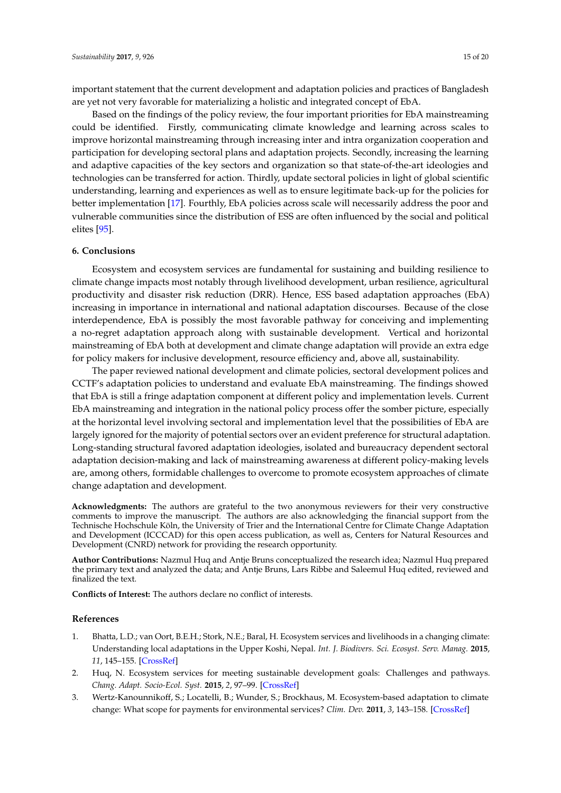important statement that the current development and adaptation policies and practices of Bangladesh are yet not very favorable for materializing a holistic and integrated concept of EbA.

Based on the findings of the policy review, the four important priorities for EbA mainstreaming could be identified. Firstly, communicating climate knowledge and learning across scales to improve horizontal mainstreaming through increasing inter and intra organization cooperation and participation for developing sectoral plans and adaptation projects. Secondly, increasing the learning and adaptive capacities of the key sectors and organization so that state-of-the-art ideologies and technologies can be transferred for action. Thirdly, update sectoral policies in light of global scientific understanding, learning and experiences as well as to ensure legitimate back-up for the policies for better implementation [\[17\]](#page-15-12). Fourthly, EbA policies across scale will necessarily address the poor and vulnerable communities since the distribution of ESS are often influenced by the social and political elites [\[95\]](#page-19-1).

#### <span id="page-14-3"></span>**6. Conclusions**

Ecosystem and ecosystem services are fundamental for sustaining and building resilience to climate change impacts most notably through livelihood development, urban resilience, agricultural productivity and disaster risk reduction (DRR). Hence, ESS based adaptation approaches (EbA) increasing in importance in international and national adaptation discourses. Because of the close interdependence, EbA is possibly the most favorable pathway for conceiving and implementing a no-regret adaptation approach along with sustainable development. Vertical and horizontal mainstreaming of EbA both at development and climate change adaptation will provide an extra edge for policy makers for inclusive development, resource efficiency and, above all, sustainability.

<span id="page-14-2"></span>The paper reviewed national development and climate policies, sectoral development polices and CCTF's adaptation policies to understand and evaluate EbA mainstreaming. The findings showed that EbA is still a fringe adaptation component at different policy and implementation levels. Current EbA mainstreaming and integration in the national policy process offer the somber picture, especially at the horizontal level involving sectoral and implementation level that the possibilities of EbA are largely ignored for the majority of potential sectors over an evident preference for structural adaptation. Long-standing structural favored adaptation ideologies, isolated and bureaucracy dependent sectoral adaptation decision-making and lack of mainstreaming awareness at different policy-making levels are, among others, formidable challenges to overcome to promote ecosystem approaches of climate change adaptation and development.

**Acknowledgments:** The authors are grateful to the two anonymous reviewers for their very constructive comments to improve the manuscript. The authors are also acknowledging the financial support from the Technische Hochschule Köln, the University of Trier and the International Centre for Climate Change Adaptation and Development (ICCCAD) for this open access publication, as well as, Centers for Natural Resources and Development (CNRD) network for providing the research opportunity.

**Author Contributions:** Nazmul Huq and Antje Bruns conceptualized the research idea; Nazmul Huq prepared the primary text and analyzed the data; and Antje Bruns, Lars Ribbe and Saleemul Huq edited, reviewed and finalized the text.

**Conflicts of Interest:** The authors declare no conflict of interests.

#### **References**

- <span id="page-14-0"></span>1. Bhatta, L.D.; van Oort, B.E.H.; Stork, N.E.; Baral, H. Ecosystem services and livelihoods in a changing climate: Understanding local adaptations in the Upper Koshi, Nepal. *Int. J. Biodivers. Sci. Ecosyst. Serv. Manag.* **2015**, *11*, 145–155. [\[CrossRef\]](http://dx.doi.org/10.1080/21513732.2015.1027793)
- 2. Huq, N. Ecosystem services for meeting sustainable development goals: Challenges and pathways. *Chang. Adapt. Socio-Ecol. Syst.* **2015**, *2*, 97–99. [\[CrossRef\]](http://dx.doi.org/10.1515/cass-2015-0014)
- <span id="page-14-1"></span>3. Wertz-Kanounnikoff, S.; Locatelli, B.; Wunder, S.; Brockhaus, M. Ecosystem-based adaptation to climate change: What scope for payments for environmental services? *Clim. Dev.* **2011**, *3*, 143–158. [\[CrossRef\]](http://dx.doi.org/10.1080/17565529.2011.582277)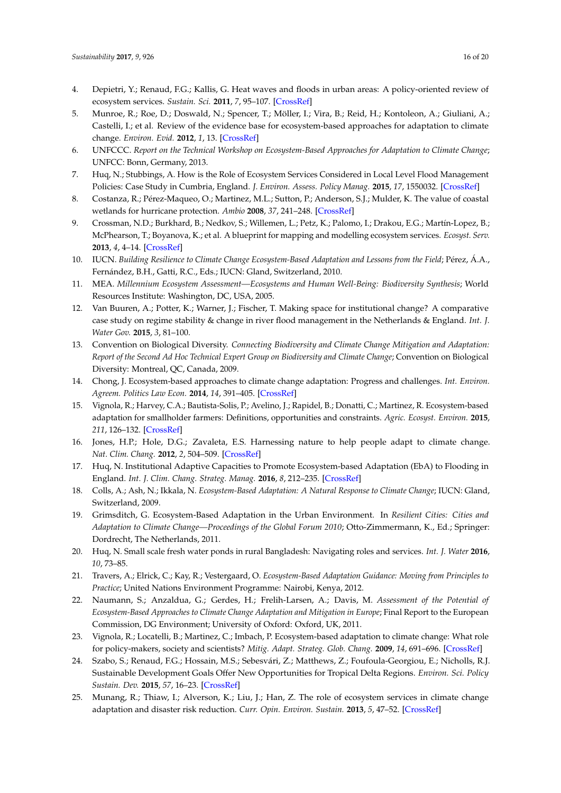- <span id="page-15-22"></span><span id="page-15-21"></span><span id="page-15-0"></span>4. Depietri, Y.; Renaud, F.G.; Kallis, G. Heat waves and floods in urban areas: A policy-oriented review of ecosystem services. *Sustain. Sci.* **2011**, *7*, 95–107. [\[CrossRef\]](http://dx.doi.org/10.1007/s11625-011-0142-4)
- <span id="page-15-23"></span><span id="page-15-1"></span>5. Munroe, R.; Roe, D.; Doswald, N.; Spencer, T.; Möller, I.; Vira, B.; Reid, H.; Kontoleon, A.; Giuliani, A.; Castelli, I.; et al. Review of the evidence base for ecosystem-based approaches for adaptation to climate change. *Environ. Evid.* **2012**, *1*, 13. [\[CrossRef\]](http://dx.doi.org/10.1186/2047-2382-1-13)
- <span id="page-15-2"></span>6. UNFCCC. *Report on the Technical Workshop on Ecosystem-Based Approaches for Adaptation to Climate Change*; UNFCC: Bonn, Germany, 2013.
- <span id="page-15-3"></span>7. Huq, N.; Stubbings, A. How is the Role of Ecosystem Services Considered in Local Level Flood Management Policies: Case Study in Cumbria, England. *J. Environ. Assess. Policy Manag.* **2015**, *17*, 1550032. [\[CrossRef\]](http://dx.doi.org/10.1142/S1464333215500325)
- <span id="page-15-24"></span><span id="page-15-4"></span>8. Costanza, R.; Pérez-Maqueo, O.; Martinez, M.L.; Sutton, P.; Anderson, S.J.; Mulder, K. The value of coastal wetlands for hurricane protection. *Ambio* **2008**, *37*, 241–248. [\[CrossRef\]](http://dx.doi.org/10.1579/0044-7447(2008)37[241:TVOCWF]2.0.CO;2)
- <span id="page-15-5"></span>9. Crossman, N.D.; Burkhard, B.; Nedkov, S.; Willemen, L.; Petz, K.; Palomo, I.; Drakou, E.G.; Martín-Lopez, B.; McPhearson, T.; Boyanova, K.; et al. A blueprint for mapping and modelling ecosystem services. *Ecosyst. Serv.* **2013**, *4*, 4–14. [\[CrossRef\]](http://dx.doi.org/10.1016/j.ecoser.2013.02.001)
- <span id="page-15-25"></span><span id="page-15-6"></span>10. IUCN. *Building Resilience to Climate Change Ecosystem-Based Adaptation and Lessons from the Field*; Pérez, Á.A., Fernández, B.H., Gatti, R.C., Eds.; IUCN: Gland, Switzerland, 2010.
- <span id="page-15-7"></span>11. MEA. *Millennium Ecosystem Assessment—Ecosystems and Human Well-Being: Biodiversity Synthesis*; World Resources Institute: Washington, DC, USA, 2005.
- <span id="page-15-8"></span>12. Van Buuren, A.; Potter, K.; Warner, J.; Fischer, T. Making space for institutional change? A comparative case study on regime stability & change in river flood management in the Netherlands & England. *Int. J. Water Gov.* **2015**, *3*, 81–100.
- <span id="page-15-9"></span>13. Convention on Biological Diversity. *Connecting Biodiversity and Climate Change Mitigation and Adaptation: Report of the Second Ad Hoc Technical Expert Group on Biodiversity and Climate Change*; Convention on Biological Diversity: Montreal, QC, Canada, 2009.
- <span id="page-15-26"></span>14. Chong, J. Ecosystem-based approaches to climate change adaptation: Progress and challenges. *Int. Environ. Agreem. Politics Law Econ.* **2014**, *14*, 391–405. [\[CrossRef\]](http://dx.doi.org/10.1007/s10784-014-9242-9)
- <span id="page-15-10"></span>15. Vignola, R.; Harvey, C.A.; Bautista-Solis, P.; Avelino, J.; Rapidel, B.; Donatti, C.; Martinez, R. Ecosystem-based adaptation for smallholder farmers: Definitions, opportunities and constraints. *Agric. Ecosyst. Environ.* **2015**, *211*, 126–132. [\[CrossRef\]](http://dx.doi.org/10.1016/j.agee.2015.05.013)
- <span id="page-15-11"></span>16. Jones, H.P.; Hole, D.G.; Zavaleta, E.S. Harnessing nature to help people adapt to climate change. *Nat. Clim. Chang.* **2012**, *2*, 504–509. [\[CrossRef\]](http://dx.doi.org/10.1038/nclimate1463)
- <span id="page-15-12"></span>17. Huq, N. Institutional Adaptive Capacities to Promote Ecosystem-based Adaptation (EbA) to Flooding in England. *Int. J. Clim. Chang. Strateg. Manag.* **2016**, *8*, 212–235. [\[CrossRef\]](http://dx.doi.org/10.1108/IJCCSM-02-2015-0013)
- <span id="page-15-13"></span>18. Colls, A.; Ash, N.; Ikkala, N. *Ecosystem-Based Adaptation: A Natural Response to Climate Change*; IUCN: Gland, Switzerland, 2009.
- <span id="page-15-14"></span>19. Grimsditch, G. Ecosystem-Based Adaptation in the Urban Environment. In *Resilient Cities: Cities and Adaptation to Climate Change—Proceedings of the Global Forum 2010*; Otto-Zimmermann, K., Ed.; Springer: Dordrecht, The Netherlands, 2011.
- <span id="page-15-15"></span>20. Huq, N. Small scale fresh water ponds in rural Bangladesh: Navigating roles and services. *Int. J. Water* **2016**, *10*, 73–85.
- <span id="page-15-16"></span>21. Travers, A.; Elrick, C.; Kay, R.; Vestergaard, O. *Ecosystem-Based Adaptation Guidance: Moving from Principles to Practice*; United Nations Environment Programme: Nairobi, Kenya, 2012.
- <span id="page-15-17"></span>22. Naumann, S.; Anzaldua, G.; Gerdes, H.; Frelih-Larsen, A.; Davis, M. *Assessment of the Potential of Ecosystem-Based Approaches to Climate Change Adaptation and Mitigation in Europe*; Final Report to the European Commission, DG Environment; University of Oxford: Oxford, UK, 2011.
- <span id="page-15-18"></span>23. Vignola, R.; Locatelli, B.; Martinez, C.; Imbach, P. Ecosystem-based adaptation to climate change: What role for policy-makers, society and scientists? *Mitig. Adapt. Strateg. Glob. Chang.* **2009**, *14*, 691–696. [\[CrossRef\]](http://dx.doi.org/10.1007/s11027-009-9193-6)
- <span id="page-15-19"></span>24. Szabo, S.; Renaud, F.G.; Hossain, M.S.; Sebesvári, Z.; Matthews, Z.; Foufoula-Georgiou, E.; Nicholls, R.J. Sustainable Development Goals Offer New Opportunities for Tropical Delta Regions. *Environ. Sci. Policy Sustain. Dev.* **2015**, *57*, 16–23. [\[CrossRef\]](http://dx.doi.org/10.1080/00139157.2015.1048142)
- <span id="page-15-20"></span>25. Munang, R.; Thiaw, I.; Alverson, K.; Liu, J.; Han, Z. The role of ecosystem services in climate change adaptation and disaster risk reduction. *Curr. Opin. Environ. Sustain.* **2013**, *5*, 47–52. [\[CrossRef\]](http://dx.doi.org/10.1016/j.cosust.2013.02.002)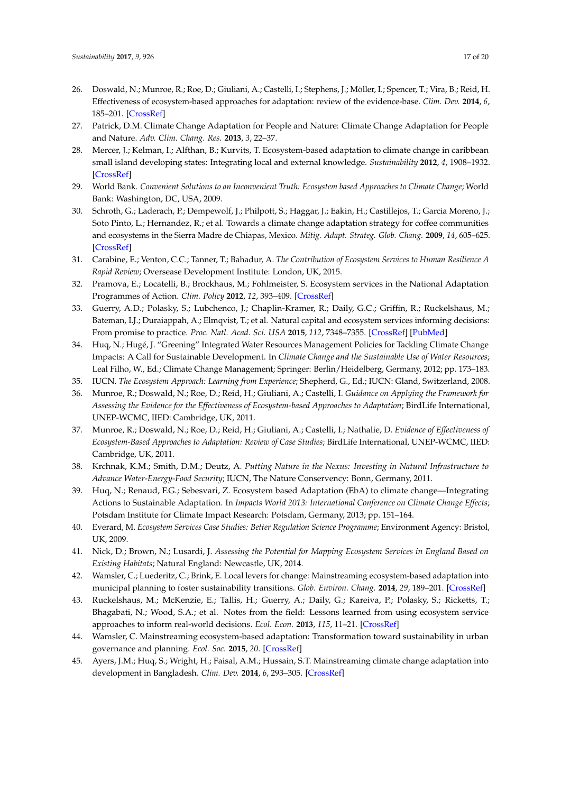- <span id="page-16-7"></span><span id="page-16-0"></span>26. Doswald, N.; Munroe, R.; Roe, D.; Giuliani, A.; Castelli, I.; Stephens, J.; Möller, I.; Spencer, T.; Vira, B.; Reid, H. Effectiveness of ecosystem-based approaches for adaptation: review of the evidence-base. *Clim. Dev.* **2014**, *6*, 185–201. [\[CrossRef\]](http://dx.doi.org/10.1080/17565529.2013.867247)
- <span id="page-16-1"></span>27. Patrick, D.M. Climate Change Adaptation for People and Nature: Climate Change Adaptation for People and Nature. *Adv. Clim. Chang. Res.* **2013**, *3*, 22–37.
- <span id="page-16-8"></span>28. Mercer, J.; Kelman, I.; Alfthan, B.; Kurvits, T. Ecosystem-based adaptation to climate change in caribbean small island developing states: Integrating local and external knowledge. *Sustainability* **2012**, *4*, 1908–1932. [\[CrossRef\]](http://dx.doi.org/10.3390/su4081908)
- 29. World Bank. *Convenient Solutions to an Inconvenient Truth: Ecosystem based Approaches to Climate Change*; World Bank: Washington, DC, USA, 2009.
- 30. Schroth, G.; Laderach, P.; Dempewolf, J.; Philpott, S.; Haggar, J.; Eakin, H.; Castillejos, T.; Garcia Moreno, J.; Soto Pinto, L.; Hernandez, R.; et al. Towards a climate change adaptation strategy for coffee communities and ecosystems in the Sierra Madre de Chiapas, Mexico. *Mitig. Adapt. Strateg. Glob. Chang.* **2009**, *14*, 605–625. [\[CrossRef\]](http://dx.doi.org/10.1007/s11027-009-9186-5)
- <span id="page-16-2"></span>31. Carabine, E.; Venton, C.C.; Tanner, T.; Bahadur, A. *The Contribution of Ecosystem Services to Human Resilience A Rapid Review*; Oversease Development Institute: London, UK, 2015.
- <span id="page-16-3"></span>32. Pramova, E.; Locatelli, B.; Brockhaus, M.; Fohlmeister, S. Ecosystem services in the National Adaptation Programmes of Action. *Clim. Policy* **2012**, *12*, 393–409. [\[CrossRef\]](http://dx.doi.org/10.1080/14693062.2011.647848)
- <span id="page-16-9"></span><span id="page-16-4"></span>33. Guerry, A.D.; Polasky, S.; Lubchenco, J.; Chaplin-Kramer, R.; Daily, G.C.; Griffin, R.; Ruckelshaus, M.; Bateman, I.J.; Duraiappah, A.; Elmqvist, T.; et al. Natural capital and ecosystem services informing decisions: From promise to practice. *Proc. Natl. Acad. Sci. USA* **2015**, *112*, 7348–7355. [\[CrossRef\]](http://dx.doi.org/10.1073/pnas.1503751112) [\[PubMed\]](http://www.ncbi.nlm.nih.gov/pubmed/26082539)
- <span id="page-16-5"></span>34. Huq, N.; Hugé, J. "Greening" Integrated Water Resources Management Policies for Tackling Climate Change Impacts: A Call for Sustainable Development. In *Climate Change and the Sustainable Use of Water Resources*; Leal Filho, W., Ed.; Climate Change Management; Springer: Berlin/Heidelberg, Germany, 2012; pp. 173–183.
- <span id="page-16-6"></span>35. IUCN. *The Ecosystem Approach: Learning from Experience*; Shepherd, G., Ed.; IUCN: Gland, Switzerland, 2008.
- 36. Munroe, R.; Doswald, N.; Roe, D.; Reid, H.; Giuliani, A.; Castelli, I. *Guidance on Applying the Framework for Assessing the Evidence for the Effectiveness of Ecosystem-based Approaches to Adaptation*; BirdLife International, UNEP-WCMC, IIED: Cambridge, UK, 2011.
- 37. Munroe, R.; Doswald, N.; Roe, D.; Reid, H.; Giuliani, A.; Castelli, I.; Nathalie, D. *Evidence of Effectiveness of Ecosystem-Based Approaches to Adaptation: Review of Case Studies*; BirdLife International, UNEP-WCMC, IIED: Cambridge, UK, 2011.
- 38. Krchnak, K.M.; Smith, D.M.; Deutz, A. *Putting Nature in the Nexus: Investing in Natural Infrastructure to Advance Water-Energy-Food Security*; IUCN, The Nature Conservency: Bonn, Germany, 2011.
- <span id="page-16-13"></span>39. Huq, N.; Renaud, F.G.; Sebesvari, Z. Ecosystem based Adaptation (EbA) to climate change—Integrating Actions to Sustainable Adaptation. In *Impacts World 2013: International Conference on Climate Change Effects*; Potsdam Institute for Climate Impact Research: Potsdam, Germany, 2013; pp. 151–164.
- 40. Everard, M. *Ecosystem Services Case Studies: Better Regulation Science Programme*; Environment Agency: Bristol, UK, 2009.
- 41. Nick, D.; Brown, N.; Lusardi, J. *Assessing the Potential for Mapping Ecosystem Services in England Based on Existing Habitats*; Natural England: Newcastle, UK, 2014.
- <span id="page-16-10"></span>42. Wamsler, C.; Luederitz, C.; Brink, E. Local levers for change: Mainstreaming ecosystem-based adaptation into municipal planning to foster sustainability transitions. *Glob. Environ. Chang.* **2014**, *29*, 189–201. [\[CrossRef\]](http://dx.doi.org/10.1016/j.gloenvcha.2014.09.008)
- <span id="page-16-11"></span>43. Ruckelshaus, M.; McKenzie, E.; Tallis, H.; Guerry, A.; Daily, G.; Kareiva, P.; Polasky, S.; Ricketts, T.; Bhagabati, N.; Wood, S.A.; et al. Notes from the field: Lessons learned from using ecosystem service approaches to inform real-world decisions. *Ecol. Econ.* **2013**, *115*, 11–21. [\[CrossRef\]](http://dx.doi.org/10.1016/j.ecolecon.2013.07.009)
- <span id="page-16-12"></span>44. Wamsler, C. Mainstreaming ecosystem-based adaptation: Transformation toward sustainability in urban governance and planning. *Ecol. Soc.* **2015**, *20*. [\[CrossRef\]](http://dx.doi.org/10.5751/ES-07489-200230)
- <span id="page-16-14"></span>45. Ayers, J.M.; Huq, S.; Wright, H.; Faisal, A.M.; Hussain, S.T. Mainstreaming climate change adaptation into development in Bangladesh. *Clim. Dev.* **2014**, *6*, 293–305. [\[CrossRef\]](http://dx.doi.org/10.1080/17565529.2014.977761)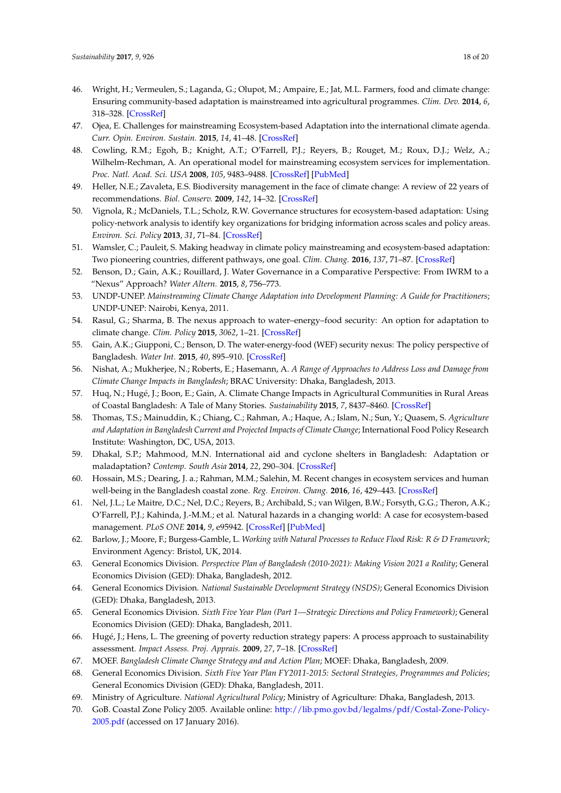- <span id="page-17-0"></span>46. Wright, H.; Vermeulen, S.; Laganda, G.; Olupot, M.; Ampaire, E.; Jat, M.L. Farmers, food and climate change: Ensuring community-based adaptation is mainstreamed into agricultural programmes. *Clim. Dev.* **2014**, *6*, 318–328. [\[CrossRef\]](http://dx.doi.org/10.1080/17565529.2014.965654)
- <span id="page-17-1"></span>47. Ojea, E. Challenges for mainstreaming Ecosystem-based Adaptation into the international climate agenda. *Curr. Opin. Environ. Sustain.* **2015**, *14*, 41–48. [\[CrossRef\]](http://dx.doi.org/10.1016/j.cosust.2015.03.006)
- <span id="page-17-2"></span>48. Cowling, R.M.; Egoh, B.; Knight, A.T.; O'Farrell, P.J.; Reyers, B.; Rouget, M.; Roux, D.J.; Welz, A.; Wilhelm-Rechman, A. An operational model for mainstreaming ecosystem services for implementation. *Proc. Natl. Acad. Sci. USA* **2008**, *105*, 9483–9488. [\[CrossRef\]](http://dx.doi.org/10.1073/pnas.0706559105) [\[PubMed\]](http://www.ncbi.nlm.nih.gov/pubmed/18621695)
- 49. Heller, N.E.; Zavaleta, E.S. Biodiversity management in the face of climate change: A review of 22 years of recommendations. *Biol. Conserv.* **2009**, *142*, 14–32. [\[CrossRef\]](http://dx.doi.org/10.1016/j.biocon.2008.10.006)
- <span id="page-17-3"></span>50. Vignola, R.; McDaniels, T.L.; Scholz, R.W. Governance structures for ecosystem-based adaptation: Using policy-network analysis to identify key organizations for bridging information across scales and policy areas. *Environ. Sci. Policy* **2013**, *31*, 71–84. [\[CrossRef\]](http://dx.doi.org/10.1016/j.envsci.2013.03.004)
- <span id="page-17-4"></span>51. Wamsler, C.; Pauleit, S. Making headway in climate policy mainstreaming and ecosystem-based adaptation: Two pioneering countries, different pathways, one goal. *Clim. Chang.* **2016**, *137*, 71–87. [\[CrossRef\]](http://dx.doi.org/10.1007/s10584-016-1660-y)
- <span id="page-17-5"></span>52. Benson, D.; Gain, A.K.; Rouillard, J. Water Governance in a Comparative Perspective: From IWRM to a "Nexus" Approach? *Water Altern.* **2015**, *8*, 756–773.
- 53. UNDP-UNEP. *Mainstreaming Climate Change Adaptation into Development Planning: A Guide for Practitioners*; UNDP-UNEP: Nairobi, Kenya, 2011.
- <span id="page-17-6"></span>54. Rasul, G.; Sharma, B. The nexus approach to water–energy–food security: An option for adaptation to climate change. *Clim. Policy* **2015**, *3062*, 1–21. [\[CrossRef\]](http://dx.doi.org/10.1080/14693062.2015.1029865)
- <span id="page-17-7"></span>55. Gain, A.K.; Giupponi, C.; Benson, D. The water-energy-food (WEF) security nexus: The policy perspective of Bangladesh. *Water Int.* **2015**, *40*, 895–910. [\[CrossRef\]](http://dx.doi.org/10.1080/02508060.2015.1087616)
- <span id="page-17-8"></span>56. Nishat, A.; Mukherjee, N.; Roberts, E.; Hasemann, A. *A Range of Approaches to Address Loss and Damage from Climate Change Impacts in Bangladesh*; BRAC University: Dhaka, Bangladesh, 2013.
- <span id="page-17-9"></span>57. Huq, N.; Hugé, J.; Boon, E.; Gain, A. Climate Change Impacts in Agricultural Communities in Rural Areas of Coastal Bangladesh: A Tale of Many Stories. *Sustainability* **2015**, *7*, 8437–8460. [\[CrossRef\]](http://dx.doi.org/10.3390/su7078437)
- 58. Thomas, T.S.; Mainuddin, K.; Chiang, C.; Rahman, A.; Haque, A.; Islam, N.; Sun, Y.; Quasem, S. *Agriculture and Adaptation in Bangladesh Current and Projected Impacts of Climate Change*; International Food Policy Research Institute: Washington, DC, USA, 2013.
- <span id="page-17-10"></span>59. Dhakal, S.P.; Mahmood, M.N. International aid and cyclone shelters in Bangladesh: Adaptation or maladaptation? *Contemp. South Asia* **2014**, *22*, 290–304. [\[CrossRef\]](http://dx.doi.org/10.1080/09584935.2014.931356)
- <span id="page-17-11"></span>60. Hossain, M.S.; Dearing, J. a.; Rahman, M.M.; Salehin, M. Recent changes in ecosystem services and human well-being in the Bangladesh coastal zone. *Reg. Environ. Chang.* **2016**, *16*, 429–443. [\[CrossRef\]](http://dx.doi.org/10.1007/s10113-014-0748-z)
- <span id="page-17-12"></span>61. Nel, J.L.; Le Maitre, D.C.; Nel, D.C.; Reyers, B.; Archibald, S.; van Wilgen, B.W.; Forsyth, G.G.; Theron, A.K.; O'Farrell, P.J.; Kahinda, J.-M.M.; et al. Natural hazards in a changing world: A case for ecosystem-based management. *PLoS ONE* **2014**, *9*, e95942. [\[CrossRef\]](http://dx.doi.org/10.1371/journal.pone.0095942) [\[PubMed\]](http://www.ncbi.nlm.nih.gov/pubmed/24806527)
- <span id="page-17-13"></span>62. Barlow, J.; Moore, F.; Burgess-Gamble, L. *Working with Natural Processes to Reduce Flood Risk: R & D Framework*; Environment Agency: Bristol, UK, 2014.
- <span id="page-17-14"></span>63. General Economics Division. *Perspective Plan of Bangladesh (2010-2021): Making Vision 2021 a Reality*; General Economics Division (GED): Dhaka, Bangladesh, 2012.
- <span id="page-17-15"></span>64. General Economics Division. *National Sustainable Development Strategy (NSDS)*; General Economics Division (GED): Dhaka, Bangladesh, 2013.
- <span id="page-17-16"></span>65. General Economics Division. *Sixth Five Year Plan (Part 1—Strategic Directions and Policy Framework)*; General Economics Division (GED): Dhaka, Bangladesh, 2011.
- <span id="page-17-17"></span>66. Hugé, J.; Hens, L. The greening of poverty reduction strategy papers: A process approach to sustainability assessment. *Impact Assess. Proj. Apprais.* **2009**, *27*, 7–18. [\[CrossRef\]](http://dx.doi.org/10.3152/146155109X413037)
- <span id="page-17-18"></span>67. MOEF. *Bangladesh Climate Change Strategy and and Action Plan*; MOEF: Dhaka, Bangladesh, 2009.
- <span id="page-17-19"></span>68. General Economics Division. *Sixth Five Year Plan FY2011-2015: Sectoral Strategies, Programmes and Policies*; General Economics Division (GED): Dhaka, Bangladesh, 2011.
- <span id="page-17-21"></span>69. Ministry of Agriculture. *National Agricultural Policy*; Ministry of Agriculture: Dhaka, Bangladesh, 2013.
- <span id="page-17-20"></span>70. GoB. Coastal Zone Policy 2005. Available online: [http://lib.pmo.gov.bd/legalms/pdf/Costal-Zone-Policy-](http://lib.pmo.gov.bd/legalms/pdf/Costal-Zone-Policy-2005.pdf)[2005.pdf](http://lib.pmo.gov.bd/legalms/pdf/Costal-Zone-Policy-2005.pdf) (accessed on 17 January 2016).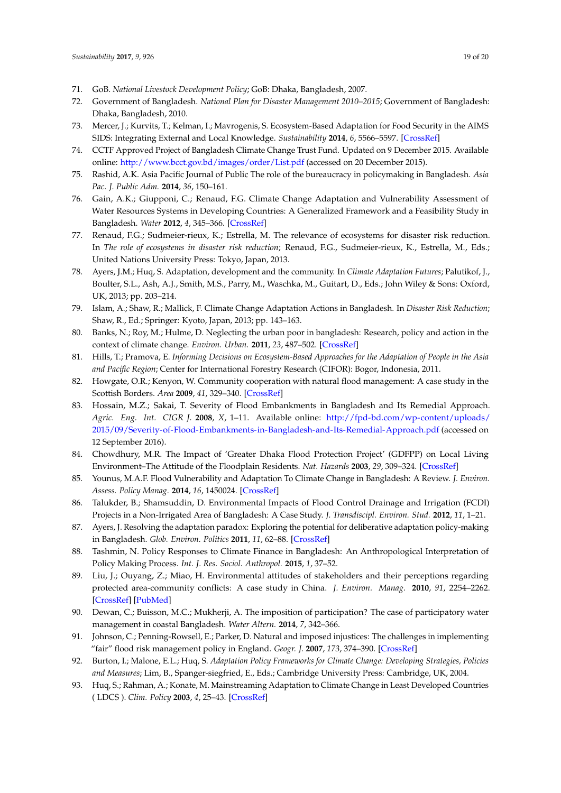- <span id="page-18-0"></span>71. GoB. *National Livestock Development Policy*; GoB: Dhaka, Bangladesh, 2007.
- <span id="page-18-1"></span>72. Government of Bangladesh. *National Plan for Disaster Management 2010–2015*; Government of Bangladesh: Dhaka, Bangladesh, 2010.
- <span id="page-18-2"></span>73. Mercer, J.; Kurvits, T.; Kelman, I.; Mavrogenis, S. Ecosystem-Based Adaptation for Food Security in the AIMS SIDS: Integrating External and Local Knowledge. *Sustainability* **2014**, *6*, 5566–5597. [\[CrossRef\]](http://dx.doi.org/10.3390/su6095566)
- <span id="page-18-3"></span>74. CCTF Approved Project of Bangladesh Climate Change Trust Fund. Updated on 9 December 2015. Available online: <http://www.bcct.gov.bd/images/order/List.pdf> (accessed on 20 December 2015).
- <span id="page-18-4"></span>75. Rashid, A.K. Asia Pacific Journal of Public The role of the bureaucracy in policymaking in Bangladesh. *Asia Pac. J. Public Adm.* **2014**, *36*, 150–161.
- <span id="page-18-5"></span>76. Gain, A.K.; Giupponi, C.; Renaud, F.G. Climate Change Adaptation and Vulnerability Assessment of Water Resources Systems in Developing Countries: A Generalized Framework and a Feasibility Study in Bangladesh. *Water* **2012**, *4*, 345–366. [\[CrossRef\]](http://dx.doi.org/10.3390/w4020345)
- <span id="page-18-6"></span>77. Renaud, F.G.; Sudmeier-rieux, K.; Estrella, M. The relevance of ecosystems for disaster risk reduction. In *The role of ecosystems in disaster risk reduction*; Renaud, F.G., Sudmeier-rieux, K., Estrella, M., Eds.; United Nations University Press: Tokyo, Japan, 2013.
- <span id="page-18-7"></span>78. Ayers, J.M.; Huq, S. Adaptation, development and the community. In *Climate Adaptation Futures*; Palutikof, J., Boulter, S.L., Ash, A.J., Smith, M.S., Parry, M., Waschka, M., Guitart, D., Eds.; John Wiley & Sons: Oxford, UK, 2013; pp. 203–214.
- <span id="page-18-8"></span>79. Islam, A.; Shaw, R.; Mallick, F. Climate Change Adaptation Actions in Bangladesh. In *Disaster Risk Reduction*; Shaw, R., Ed.; Springer: Kyoto, Japan, 2013; pp. 143–163.
- <span id="page-18-9"></span>80. Banks, N.; Roy, M.; Hulme, D. Neglecting the urban poor in bangladesh: Research, policy and action in the context of climate change. *Environ. Urban.* **2011**, *23*, 487–502. [\[CrossRef\]](http://dx.doi.org/10.1177/0956247811417794)
- <span id="page-18-10"></span>81. Hills, T.; Pramova, E. *Informing Decisions on Ecosystem-Based Approaches for the Adaptation of People in the Asia and Pacific Region*; Center for International Forestry Research (CIFOR): Bogor, Indonesia, 2011.
- <span id="page-18-11"></span>82. Howgate, O.R.; Kenyon, W. Community cooperation with natural flood management: A case study in the Scottish Borders. *Area* **2009**, *41*, 329–340. [\[CrossRef\]](http://dx.doi.org/10.1111/j.1475-4762.2008.00869.x)
- <span id="page-18-12"></span>83. Hossain, M.Z.; Sakai, T. Severity of Flood Embankments in Bangladesh and Its Remedial Approach. *Agric. Eng. Int. CIGR J.* **2008**, *X*, 1–11. Available online: [http://fpd-bd.com/wp-content/uploads/](http://fpd-bd.com/wp-content/uploads/2015/09/Severity-of-Flood-Embankments-in-Bangladesh-and-Its-Remedial-Approach.pdf) [2015/09/Severity-of-Flood-Embankments-in-Bangladesh-and-Its-Remedial-Approach.pdf](http://fpd-bd.com/wp-content/uploads/2015/09/Severity-of-Flood-Embankments-in-Bangladesh-and-Its-Remedial-Approach.pdf) (accessed on 12 September 2016).
- <span id="page-18-13"></span>84. Chowdhury, M.R. The Impact of 'Greater Dhaka Flood Protection Project' (GDFPP) on Local Living Environment–The Attitude of the Floodplain Residents. *Nat. Hazards* **2003**, *29*, 309–324. [\[CrossRef\]](http://dx.doi.org/10.1023/A:1024798931426)
- <span id="page-18-14"></span>85. Younus, M.A.F. Flood Vulnerability and Adaptation To Climate Change in Bangladesh: A Review. *J. Environ. Assess. Policy Manag.* **2014**, *16*, 1450024. [\[CrossRef\]](http://dx.doi.org/10.1142/S1464333214500240)
- <span id="page-18-15"></span>86. Talukder, B.; Shamsuddin, D. Environmental Impacts of Flood Control Drainage and Irrigation (FCDI) Projects in a Non-Irrigated Area of Bangladesh: A Case Study. *J. Transdiscipl. Environ. Stud.* **2012**, *11*, 1–21.
- <span id="page-18-16"></span>87. Ayers, J. Resolving the adaptation paradox: Exploring the potential for deliberative adaptation policy-making in Bangladesh. *Glob. Environ. Politics* **2011**, *11*, 62–88. [\[CrossRef\]](http://dx.doi.org/10.1162/GLEP_a_00043)
- <span id="page-18-17"></span>88. Tashmin, N. Policy Responses to Climate Finance in Bangladesh: An Anthropological Interpretation of Policy Making Process. *Int. J. Res. Sociol. Anthropol.* **2015**, *1*, 37–52.
- <span id="page-18-18"></span>89. Liu, J.; Ouyang, Z.; Miao, H. Environmental attitudes of stakeholders and their perceptions regarding protected area-community conflicts: A case study in China. *J. Environ. Manag.* **2010**, *91*, 2254–2262. [\[CrossRef\]](http://dx.doi.org/10.1016/j.jenvman.2010.06.007) [\[PubMed\]](http://www.ncbi.nlm.nih.gov/pubmed/20619528)
- <span id="page-18-19"></span>90. Dewan, C.; Buisson, M.C.; Mukherji, A. The imposition of participation? The case of participatory water management in coastal Bangladesh. *Water Altern.* **2014**, *7*, 342–366.
- <span id="page-18-20"></span>91. Johnson, C.; Penning-Rowsell, E.; Parker, D. Natural and imposed injustices: The challenges in implementing "fair" flood risk management policy in England. *Geogr. J.* **2007**, *173*, 374–390. [\[CrossRef\]](http://dx.doi.org/10.1111/j.1475-4959.2007.00256.x)
- <span id="page-18-21"></span>92. Burton, I.; Malone, E.L.; Huq, S. *Adaptation Policy Frameworks for Climate Change: Developing Strategies, Policies and Measures*; Lim, B., Spanger-siegfried, E., Eds.; Cambridge University Press: Cambridge, UK, 2004.
- <span id="page-18-22"></span>93. Huq, S.; Rahman, A.; Konate, M. Mainstreaming Adaptation to Climate Change in Least Developed Countries ( LDCS ). *Clim. Policy* **2003**, *4*, 25–43. [\[CrossRef\]](http://dx.doi.org/10.1080/14693062.2004.9685508)